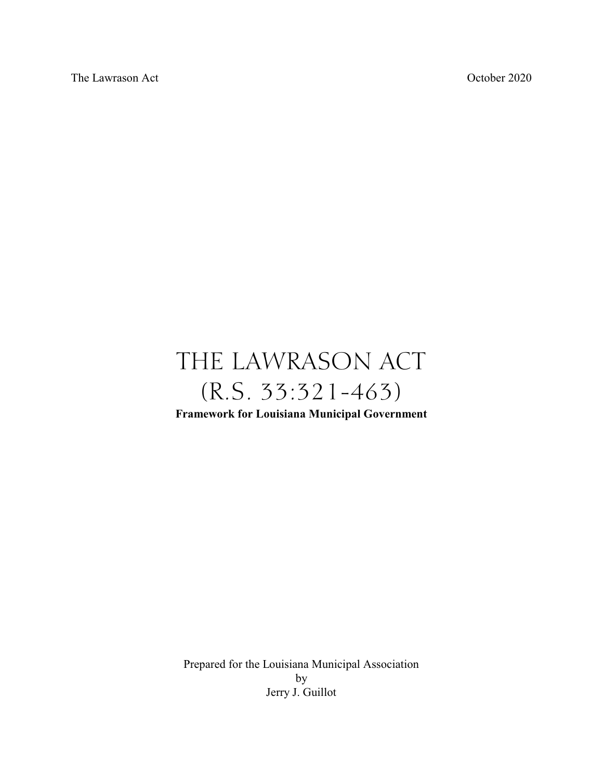The Lawrason Act Correct Contract Correct Correct Correct Correct Correct Correct Correct Correct Correct Correct Correct Correct Correct Correct Correct Correct Correct Correct Correct Correct Correct Correct Correct Corr

# THE LAWRASON ACT (R.S. 33:321-463)

**Framework for Louisiana Municipal Government**

Prepared for the Louisiana Municipal Association by Jerry J. Guillot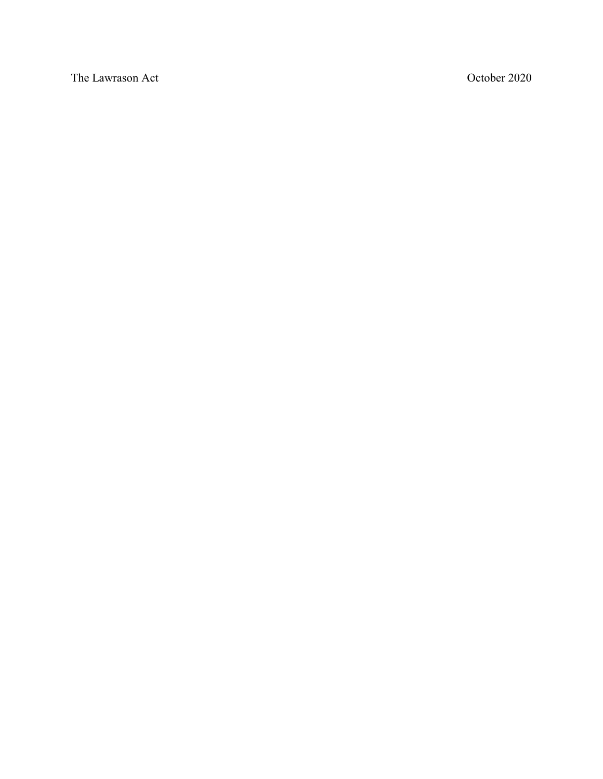The Lawrason Act Corollary Corollary and Corollary Corollary Corollary Corollary Corollary Corollary Corollary Corollary Corollary Corollary Corollary Corollary Corollary Corollary Corollary Corollary Corollary Corollary C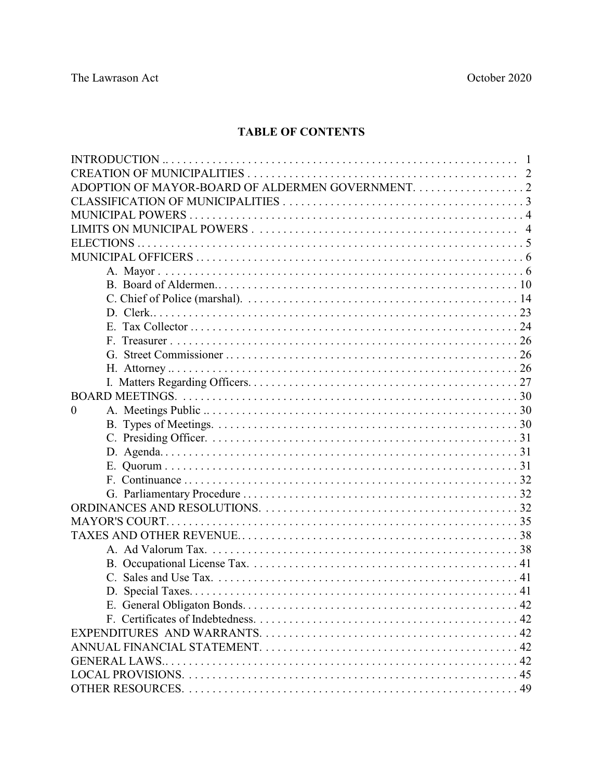# **TABLE OF CONTENTS**

| $\overline{0}$ |
|----------------|
|                |
|                |
|                |
|                |
|                |
|                |
|                |
|                |
|                |
|                |
|                |
|                |
|                |
|                |
|                |
|                |
|                |
|                |
|                |
|                |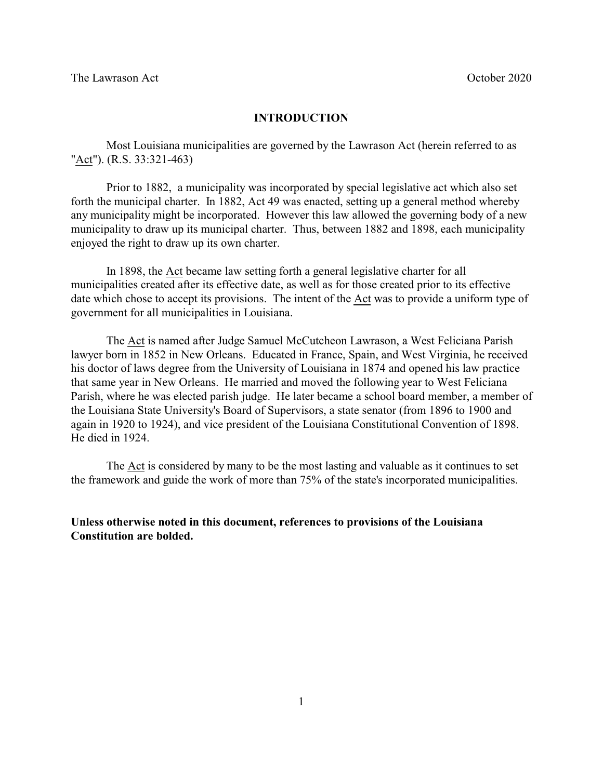#### **INTRODUCTION**

Most Louisiana municipalities are governed by the Lawrason Act (herein referred to as "Act"). (R.S. 33:321-463)

Prior to 1882, a municipality was incorporated by special legislative act which also set forth the municipal charter. In 1882, Act 49 was enacted, setting up a general method whereby any municipality might be incorporated. However this law allowed the governing body of a new municipality to draw up its municipal charter. Thus, between 1882 and 1898, each municipality enjoyed the right to draw up its own charter.

In 1898, the Act became law setting forth a general legislative charter for all municipalities created after its effective date, as well as for those created prior to its effective date which chose to accept its provisions. The intent of the Act was to provide a uniform type of government for all municipalities in Louisiana.

The Act is named after Judge Samuel McCutcheon Lawrason, a West Feliciana Parish lawyer born in 1852 in New Orleans. Educated in France, Spain, and West Virginia, he received his doctor of laws degree from the University of Louisiana in 1874 and opened his law practice that same year in New Orleans. He married and moved the following year to West Feliciana Parish, where he was elected parish judge. He later became a school board member, a member of the Louisiana State University's Board of Supervisors, a state senator (from 1896 to 1900 and again in 1920 to 1924), and vice president of the Louisiana Constitutional Convention of 1898. He died in 1924.

The Act is considered by many to be the most lasting and valuable as it continues to set the framework and guide the work of more than 75% of the state's incorporated municipalities.

**Unless otherwise noted in this document, references to provisions of the Louisiana Constitution are bolded.**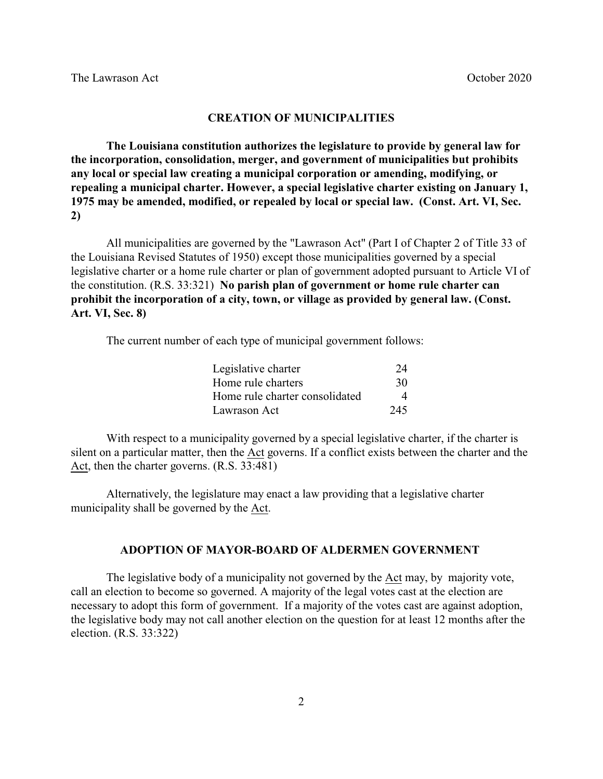#### **CREATION OF MUNICIPALITIES**

**The Louisiana constitution authorizes the legislature to provide by general law for the incorporation, consolidation, merger, and government of municipalities but prohibits any local or special law creating a municipal corporation or amending, modifying, or repealing a municipal charter. However, a special legislative charter existing on January 1, 1975 may be amended, modified, or repealed by local or special law. (Const. Art. VI, Sec. 2)**

All municipalities are governed by the "Lawrason Act" (Part I of Chapter 2 of Title 33 of the Louisiana Revised Statutes of 1950) except those municipalities governed by a special legislative charter or a home rule charter or plan of government adopted pursuant to Article VI of the constitution. (R.S. 33:321) **No parish plan of government or home rule charter can prohibit the incorporation of a city, town, or village as provided by general law. (Const. Art. VI, Sec. 8)** 

The current number of each type of municipal government follows:

| Legislative charter            | 24  |
|--------------------------------|-----|
| Home rule charters             | 30  |
| Home rule charter consolidated |     |
| Lawrason Act                   | 245 |

With respect to a municipality governed by a special legislative charter, if the charter is silent on a particular matter, then the Act governs. If a conflict exists between the charter and the Act, then the charter governs. (R.S. 33:481)

Alternatively, the legislature may enact a law providing that a legislative charter municipality shall be governed by the Act.

#### **ADOPTION OF MAYOR-BOARD OF ALDERMEN GOVERNMENT**

The legislative body of a municipality not governed by the Act may, by majority vote, call an election to become so governed. A majority of the legal votes cast at the election are necessary to adopt this form of government. If a majority of the votes cast are against adoption, the legislative body may not call another election on the question for at least 12 months after the election. (R.S. 33:322)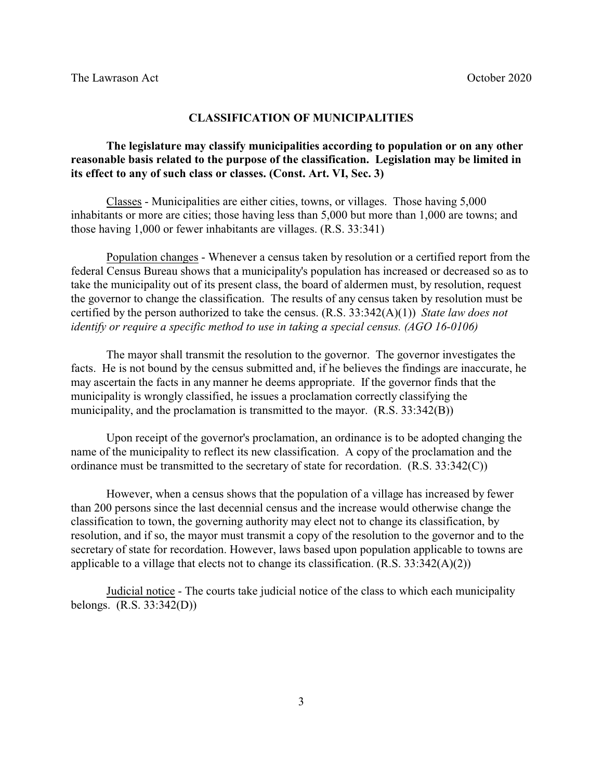#### **CLASSIFICATION OF MUNICIPALITIES**

# **The legislature may classify municipalities according to population or on any other reasonable basis related to the purpose of the classification. Legislation may be limited in its effect to any of such class or classes. (Const. Art. VI, Sec. 3)**

Classes - Municipalities are either cities, towns, or villages. Those having 5,000 inhabitants or more are cities; those having less than 5,000 but more than 1,000 are towns; and those having 1,000 or fewer inhabitants are villages. (R.S. 33:341)

Population changes - Whenever a census taken by resolution or a certified report from the federal Census Bureau shows that a municipality's population has increased or decreased so as to take the municipality out of its present class, the board of aldermen must, by resolution, request the governor to change the classification. The results of any census taken by resolution must be certified by the person authorized to take the census. (R.S. 33:342(A)(1)) *State law does not identify or require a specific method to use in taking a special census. (AGO 16-0106)*

The mayor shall transmit the resolution to the governor. The governor investigates the facts. He is not bound by the census submitted and, if he believes the findings are inaccurate, he may ascertain the facts in any manner he deems appropriate. If the governor finds that the municipality is wrongly classified, he issues a proclamation correctly classifying the municipality, and the proclamation is transmitted to the mayor. (R.S. 33:342(B))

Upon receipt of the governor's proclamation, an ordinance is to be adopted changing the name of the municipality to reflect its new classification. A copy of the proclamation and the ordinance must be transmitted to the secretary of state for recordation. (R.S. 33:342(C))

However, when a census shows that the population of a village has increased by fewer than 200 persons since the last decennial census and the increase would otherwise change the classification to town, the governing authority may elect not to change its classification, by resolution, and if so, the mayor must transmit a copy of the resolution to the governor and to the secretary of state for recordation. However, laws based upon population applicable to towns are applicable to a village that elects not to change its classification.  $(R.S. 33:342(A)(2))$ 

Judicial notice - The courts take judicial notice of the class to which each municipality belongs. (R.S. 33:342(D))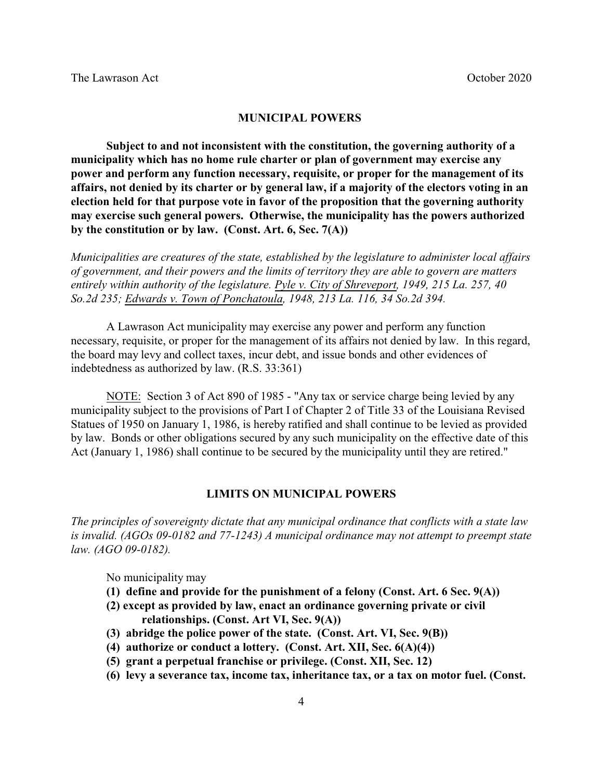#### **MUNICIPAL POWERS**

**Subject to and not inconsistent with the constitution, the governing authority of a municipality which has no home rule charter or plan of government may exercise any power and perform any function necessary, requisite, or proper for the management of its affairs, not denied by its charter or by general law, if a majority of the electors voting in an election held for that purpose vote in favor of the proposition that the governing authority may exercise such general powers. Otherwise, the municipality has the powers authorized by the constitution or by law. (Const. Art. 6, Sec. 7(A))**

*Municipalities are creatures of the state, established by the legislature to administer local affairs of government, and their powers and the limits of territory they are able to govern are matters entirely within authority of the legislature. Pyle v. City of Shreveport, 1949, 215 La. 257, 40 So.2d 235; Edwards v. Town of Ponchatoula, 1948, 213 La. 116, 34 So.2d 394.*

A Lawrason Act municipality may exercise any power and perform any function necessary, requisite, or proper for the management of its affairs not denied by law. In this regard, the board may levy and collect taxes, incur debt, and issue bonds and other evidences of indebtedness as authorized by law. (R.S. 33:361)

NOTE: Section 3 of Act 890 of 1985 - "Any tax or service charge being levied by any municipality subject to the provisions of Part I of Chapter 2 of Title 33 of the Louisiana Revised Statues of 1950 on January 1, 1986, is hereby ratified and shall continue to be levied as provided by law. Bonds or other obligations secured by any such municipality on the effective date of this Act (January 1, 1986) shall continue to be secured by the municipality until they are retired."

# **LIMITS ON MUNICIPAL POWERS**

*The principles of sovereignty dictate that any municipal ordinance that conflicts with a state law is invalid. (AGOs 09-0182 and 77-1243) A municipal ordinance may not attempt to preempt state law. (AGO 09-0182).* 

No municipality may

- **(1) define and provide for the punishment of a felony (Const. Art. 6 Sec. 9(A))**
- **(2) except as provided by law, enact an ordinance governing private or civil relationships. (Const. Art VI, Sec. 9(A))**
- **(3) abridge the police power of the state. (Const. Art. VI, Sec. 9(B))**
- **(4) authorize or conduct a lottery. (Const. Art. XII, Sec. 6(A)(4))**
- **(5) grant a perpetual franchise or privilege. (Const. XII, Sec. 12)**
- **(6) levy a severance tax, income tax, inheritance tax, or a tax on motor fuel. (Const.**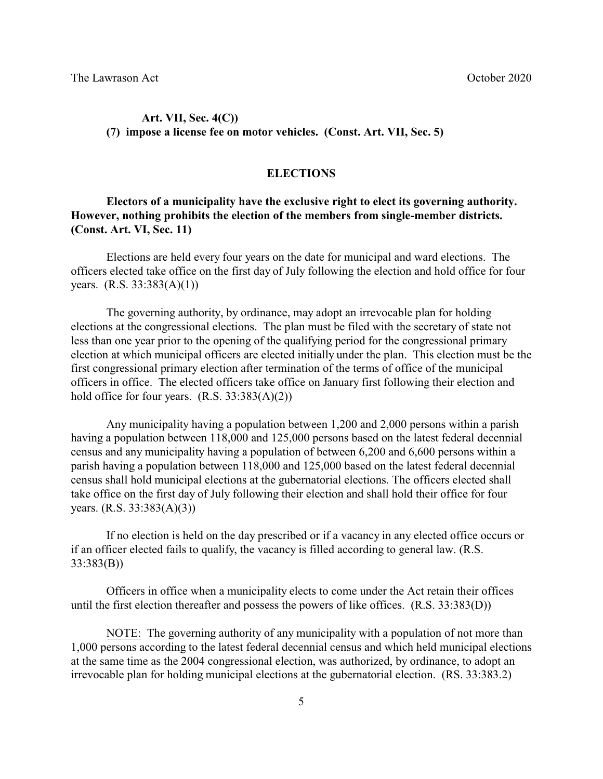# **Art. VII, Sec. 4(C)) (7) impose a license fee on motor vehicles. (Const. Art. VII, Sec. 5)**

## **ELECTIONS**

# **Electors of a municipality have the exclusive right to elect its governing authority. However, nothing prohibits the election of the members from single-member districts. (Const. Art. VI, Sec. 11)**

Elections are held every four years on the date for municipal and ward elections. The officers elected take office on the first day of July following the election and hold office for four years. (R.S. 33:383(A)(1))

The governing authority, by ordinance, may adopt an irrevocable plan for holding elections at the congressional elections. The plan must be filed with the secretary of state not less than one year prior to the opening of the qualifying period for the congressional primary election at which municipal officers are elected initially under the plan. This election must be the first congressional primary election after termination of the terms of office of the municipal officers in office. The elected officers take office on January first following their election and hold office for four years.  $(R.S. 33:383(A)(2))$ 

Any municipality having a population between 1,200 and 2,000 persons within a parish having a population between 118,000 and 125,000 persons based on the latest federal decennial census and any municipality having a population of between 6,200 and 6,600 persons within a parish having a population between 118,000 and 125,000 based on the latest federal decennial census shall hold municipal elections at the gubernatorial elections. The officers elected shall take office on the first day of July following their election and shall hold their office for four years. (R.S. 33:383(A)(3))

If no election is held on the day prescribed or if a vacancy in any elected office occurs or if an officer elected fails to qualify, the vacancy is filled according to general law. (R.S. 33:383(B))

Officers in office when a municipality elects to come under the Act retain their offices until the first election thereafter and possess the powers of like offices. (R.S. 33:383(D))

NOTE: The governing authority of any municipality with a population of not more than 1,000 persons according to the latest federal decennial census and which held municipal elections at the same time as the 2004 congressional election, was authorized, by ordinance, to adopt an irrevocable plan for holding municipal elections at the gubernatorial election. (RS. 33:383.2)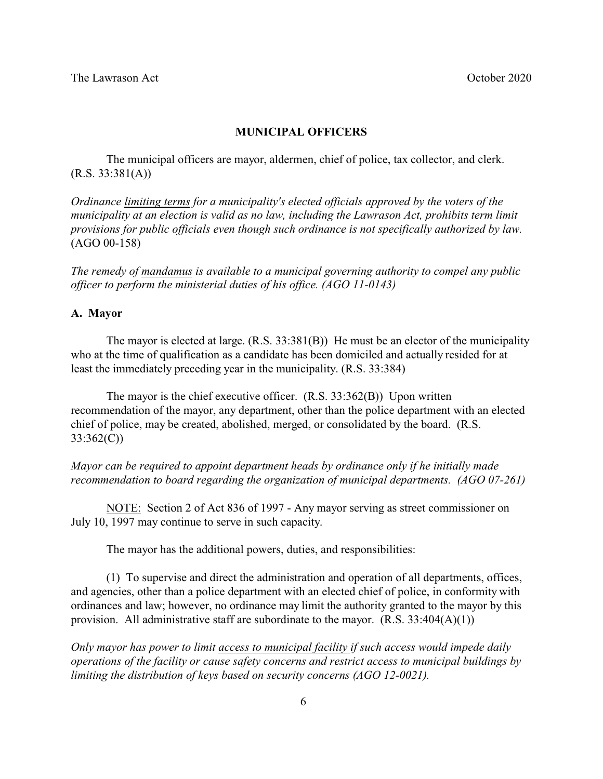## **MUNICIPAL OFFICERS**

The municipal officers are mayor, aldermen, chief of police, tax collector, and clerk.  $(R.S. 33:381(A))$ 

*Ordinance limiting terms for a municipality's elected officials approved by the voters of the municipality at an election is valid as no law, including the Lawrason Act, prohibits term limit provisions for public officials even though such ordinance is not specifically authorized by law.* (AGO 00-158)

*The remedy of mandamus is available to a municipal governing authority to compel any public officer to perform the ministerial duties of his office. (AGO 11-0143)*

#### **A. Mayor**

The mayor is elected at large. (R.S. 33:381(B)) He must be an elector of the municipality who at the time of qualification as a candidate has been domiciled and actually resided for at least the immediately preceding year in the municipality. (R.S. 33:384)

The mayor is the chief executive officer. (R.S. 33:362(B)) Upon written recommendation of the mayor, any department, other than the police department with an elected chief of police, may be created, abolished, merged, or consolidated by the board. (R.S. 33:362(C))

*Mayor can be required to appoint department heads by ordinance only if he initially made recommendation to board regarding the organization of municipal departments. (AGO 07-261)* 

NOTE: Section 2 of Act 836 of 1997 - Any mayor serving as street commissioner on July 10, 1997 may continue to serve in such capacity.

The mayor has the additional powers, duties, and responsibilities:

(1) To supervise and direct the administration and operation of all departments, offices, and agencies, other than a police department with an elected chief of police, in conformity with ordinances and law; however, no ordinance may limit the authority granted to the mayor by this provision. All administrative staff are subordinate to the mayor.  $(R.S. 33:404(A)(1))$ 

*Only mayor has power to limit access to municipal facility if such access would impede daily operations of the facility or cause safety concerns and restrict access to municipal buildings by limiting the distribution of keys based on security concerns (AGO 12-0021).*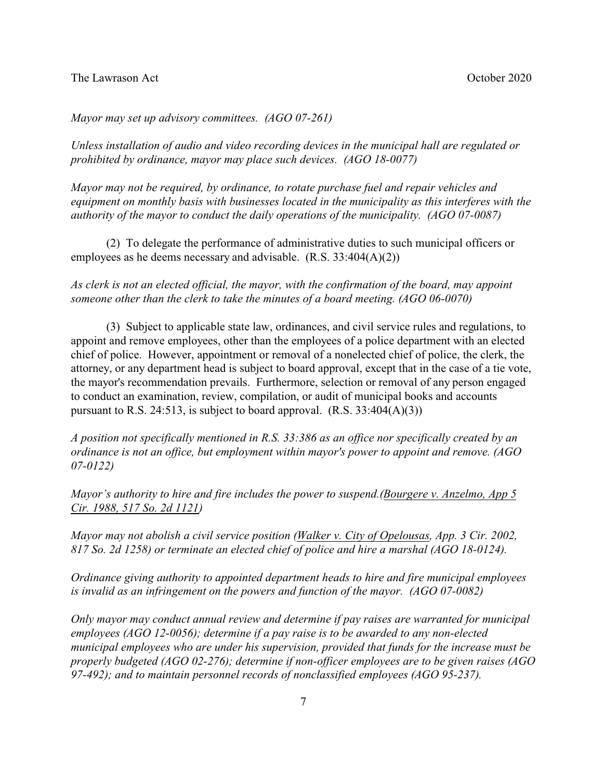The Lawrason Act **October 2020** 

*Mayor may set up advisory committees. (AGO 07-261)*

*Unless installation of audio and video recording devices in the municipal hall are regulated or prohibited by ordinance, mayor may place such devices. (AGO 18-0077)*

*Mayor may not be required, by ordinance, to rotate purchase fuel and repair vehicles and equipment on monthly basis with businesses located in the municipality as this interferes with the authority of the mayor to conduct the daily operations of the municipality. (AGO 07-0087)* 

(2) To delegate the performance of administrative duties to such municipal officers or employees as he deems necessary and advisable.  $(R.S. 33:404(A)(2))$ 

*As clerk is not an elected official, the mayor, with the confirmation of the board, may appoint someone other than the clerk to take the minutes of a board meeting. (AGO 06-0070)*

(3) Subject to applicable state law, ordinances, and civil service rules and regulations, to appoint and remove employees, other than the employees of a police department with an elected chief of police. However, appointment or removal of a nonelected chief of police, the clerk, the attorney, or any department head is subject to board approval, except that in the case of a tie vote, the mayor's recommendation prevails. Furthermore, selection or removal of any person engaged to conduct an examination, review, compilation, or audit of municipal books and accounts pursuant to R.S. 24:513, is subject to board approval.  $(R.S. 33:404(A)(3))$ 

*A position not specifically mentioned in R.S. 33:386 as an office nor specifically created by an ordinance is not an office, but employment within mayor's power to appoint and remove. (AGO 07-0122)*

*Mayor's authority to hire and fire includes the power to suspend.(Bourgere v. Anzelmo, App 5 Cir. 1988, 517 So. 2d 1121)* 

*Mayor may not abolish a civil service position (Walker v. City of Opelousas, App. 3 Cir. 2002, 817 So. 2d 1258) or terminate an elected chief of police and hire a marshal (AGO 18-0124).*

*Ordinance giving authority to appointed department heads to hire and fire municipal employees is invalid as an infringement on the powers and function of the mayor. (AGO 07-0082)*

*Only mayor may conduct annual review and determine if pay raises are warranted for municipal employees (AGO 12-0056); determine if a pay raise is to be awarded to any non-elected municipal employees who are under his supervision, provided that funds for the increase must be properly budgeted (AGO 02-276); determine if non-officer employees are to be given raises (AGO 97-492); and to maintain personnel records of nonclassified employees (AGO 95-237).*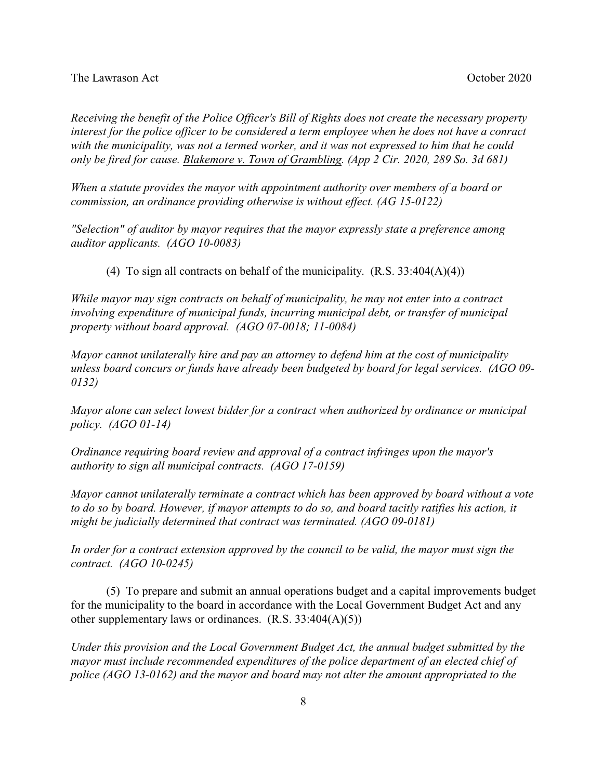#### The Lawrason Act **October 2020**

*Receiving the benefit of the Police Officer's Bill of Rights does not create the necessary property interest for the police officer to be considered a term employee when he does not have a conract with the municipality, was not a termed worker, and it was not expressed to him that he could only be fired for cause. Blakemore v. Town of Grambling. (App 2 Cir. 2020, 289 So. 3d 681)*

*When a statute provides the mayor with appointment authority over members of a board or commission, an ordinance providing otherwise is without effect. (AG 15-0122)*

*"Selection" of auditor by mayor requires that the mayor expressly state a preference among auditor applicants. (AGO 10-0083)*

(4) To sign all contracts on behalf of the municipality.  $(R.S. 33:404(A)(4))$ 

*While mayor may sign contracts on behalf of municipality, he may not enter into a contract involving expenditure of municipal funds, incurring municipal debt, or transfer of municipal property without board approval. (AGO 07-0018; 11-0084)* 

*Mayor cannot unilaterally hire and pay an attorney to defend him at the cost of municipality unless board concurs or funds have already been budgeted by board for legal services. (AGO 09- 0132)* 

*Mayor alone can select lowest bidder for a contract when authorized by ordinance or municipal policy. (AGO 01-14)* 

*Ordinance requiring board review and approval of a contract infringes upon the mayor's authority to sign all municipal contracts. (AGO 17-0159)*

*Mayor cannot unilaterally terminate a contract which has been approved by board without a vote to do so by board. However, if mayor attempts to do so, and board tacitly ratifies his action, it might be judicially determined that contract was terminated. (AGO 09-0181)*

*In order for a contract extension approved by the council to be valid, the mayor must sign the contract. (AGO 10-0245)*

(5) To prepare and submit an annual operations budget and a capital improvements budget for the municipality to the board in accordance with the Local Government Budget Act and any other supplementary laws or ordinances.  $(R.S. 33:404(A)(5))$ 

*Under this provision and the Local Government Budget Act, the annual budget submitted by the mayor must include recommended expenditures of the police department of an elected chief of police (AGO 13-0162) and the mayor and board may not alter the amount appropriated to the*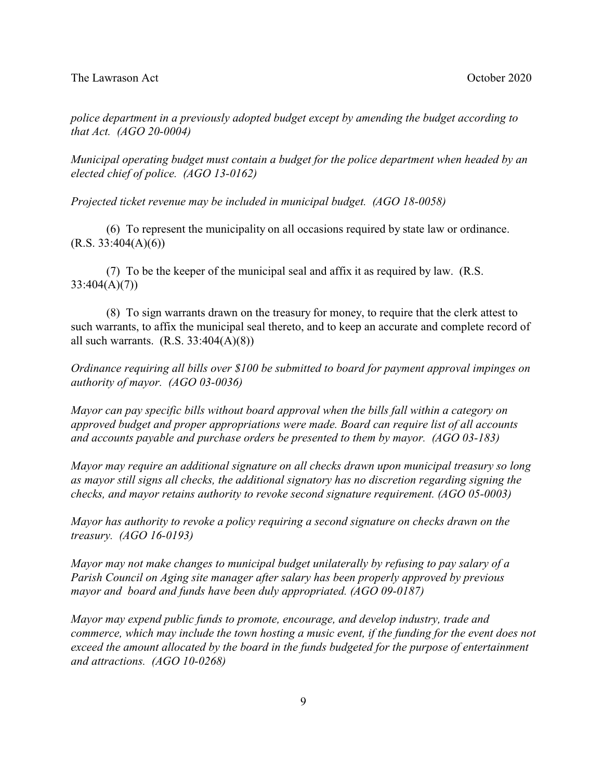*police department in a previously adopted budget except by amending the budget according to that Act. (AGO 20-0004)*

*Municipal operating budget must contain a budget for the police department when headed by an elected chief of police. (AGO 13-0162)*

*Projected ticket revenue may be included in municipal budget. (AGO 18-0058)*

(6) To represent the municipality on all occasions required by state law or ordinance.  $(R.S. 33:404(A)(6))$ 

(7) To be the keeper of the municipal seal and affix it as required by law. (R.S. 33:404(A)(7))

(8) To sign warrants drawn on the treasury for money, to require that the clerk attest to such warrants, to affix the municipal seal thereto, and to keep an accurate and complete record of all such warrants.  $(R.S. 33:404(A)(8))$ 

*Ordinance requiring all bills over \$100 be submitted to board for payment approval impinges on authority of mayor. (AGO 03-0036)* 

*Mayor can pay specific bills without board approval when the bills fall within a category on approved budget and proper appropriations were made. Board can require list of all accounts and accounts payable and purchase orders be presented to them by mayor. (AGO 03-183)*

*Mayor may require an additional signature on all checks drawn upon municipal treasury so long as mayor still signs all checks, the additional signatory has no discretion regarding signing the checks, and mayor retains authority to revoke second signature requirement. (AGO 05-0003)* 

*Mayor has authority to revoke a policy requiring a second signature on checks drawn on the treasury. (AGO 16-0193)*

*Mayor may not make changes to municipal budget unilaterally by refusing to pay salary of a Parish Council on Aging site manager after salary has been properly approved by previous mayor and board and funds have been duly appropriated. (AGO 09-0187)*

*Mayor may expend public funds to promote, encourage, and develop industry, trade and commerce, which may include the town hosting a music event, if the funding for the event does not exceed the amount allocated by the board in the funds budgeted for the purpose of entertainment and attractions. (AGO 10-0268)*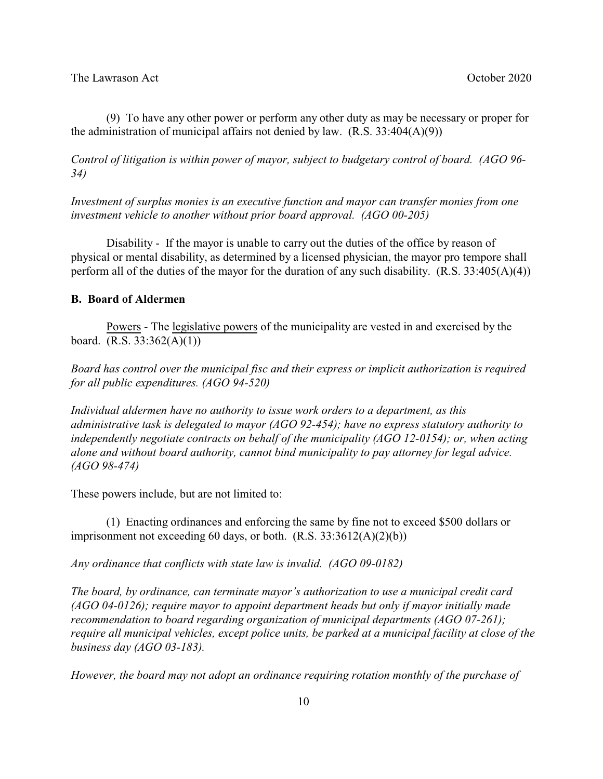(9) To have any other power or perform any other duty as may be necessary or proper for the administration of municipal affairs not denied by law.  $(R.S. 33:404(A)(9))$ 

*Control of litigation is within power of mayor, subject to budgetary control of board. (AGO 96- 34)*

*Investment of surplus monies is an executive function and mayor can transfer monies from one investment vehicle to another without prior board approval. (AGO 00-205)* 

Disability - If the mayor is unable to carry out the duties of the office by reason of physical or mental disability, as determined by a licensed physician, the mayor pro tempore shall perform all of the duties of the mayor for the duration of any such disability. (R.S. 33:405(A)(4))

## **B. Board of Aldermen**

Powers - The legislative powers of the municipality are vested in and exercised by the board. (R.S. 33:362(A)(1))

*Board has control over the municipal fisc and their express or implicit authorization is required for all public expenditures. (AGO 94-520)*

*Individual aldermen have no authority to issue work orders to a department, as this administrative task is delegated to mayor (AGO 92-454); have no express statutory authority to independently negotiate contracts on behalf of the municipality (AGO 12-0154); or, when acting alone and without board authority, cannot bind municipality to pay attorney for legal advice. (AGO 98-474)*

These powers include, but are not limited to:

(1) Enacting ordinances and enforcing the same by fine not to exceed \$500 dollars or imprisonment not exceeding 60 days, or both.  $(R.S. 33:3612(A)(2)(b))$ 

*Any ordinance that conflicts with state law is invalid. (AGO 09-0182)*

*The board, by ordinance, can terminate mayor's authorization to use a municipal credit card (AGO 04-0126); require mayor to appoint department heads but only if mayor initially made recommendation to board regarding organization of municipal departments (AGO 07-261); require all municipal vehicles, except police units, be parked at a municipal facility at close of the business day (AGO 03-183).* 

*However, the board may not adopt an ordinance requiring rotation monthly of the purchase of*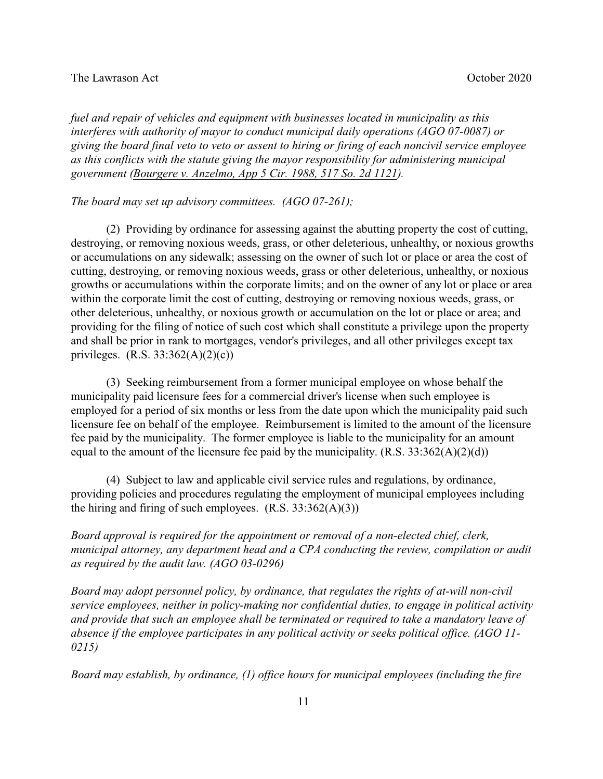#### The Lawrason Act **October 2020**

*fuel and repair of vehicles and equipment with businesses located in municipality as this interferes with authority of mayor to conduct municipal daily operations (AGO 07-0087) or giving the board final veto to veto or assent to hiring or firing of each noncivil service employee as this conflicts with the statute giving the mayor responsibility for administering municipal government (Bourgere v. Anzelmo, App 5 Cir. 1988, 517 So. 2d 1121).* 

*The board may set up advisory committees. (AGO 07-261);* 

(2) Providing by ordinance for assessing against the abutting property the cost of cutting, destroying, or removing noxious weeds, grass, or other deleterious, unhealthy, or noxious growths or accumulations on any sidewalk; assessing on the owner of such lot or place or area the cost of cutting, destroying, or removing noxious weeds, grass or other deleterious, unhealthy, or noxious growths or accumulations within the corporate limits; and on the owner of any lot or place or area within the corporate limit the cost of cutting, destroying or removing noxious weeds, grass, or other deleterious, unhealthy, or noxious growth or accumulation on the lot or place or area; and providing for the filing of notice of such cost which shall constitute a privilege upon the property and shall be prior in rank to mortgages, vendor's privileges, and all other privileges except tax privileges. (R.S. 33:362(A)(2)(c))

(3) Seeking reimbursement from a former municipal employee on whose behalf the municipality paid licensure fees for a commercial driver's license when such employee is employed for a period of six months or less from the date upon which the municipality paid such licensure fee on behalf of the employee. Reimbursement is limited to the amount of the licensure fee paid by the municipality. The former employee is liable to the municipality for an amount equal to the amount of the licensure fee paid by the municipality.  $(R.S. 33:362(A)(2)(d))$ 

(4) Subject to law and applicable civil service rules and regulations, by ordinance, providing policies and procedures regulating the employment of municipal employees including the hiring and firing of such employees.  $(R.S. 33:362(A)(3))$ 

*Board approval is required for the appointment or removal of a non-elected chief, clerk, municipal attorney, any department head and a CPA conducting the review, compilation or audit as required by the audit law. (AGO 03-0296)*

*Board may adopt personnel policy, by ordinance, that regulates the rights of at-will non-civil service employees, neither in policy-making nor confidential duties, to engage in political activity and provide that such an employee shall be terminated or required to take a mandatory leave of absence if the employee participates in any political activity or seeks political office. (AGO 11- 0215)*

*Board may establish, by ordinance, (1) office hours for municipal employees (including the fire*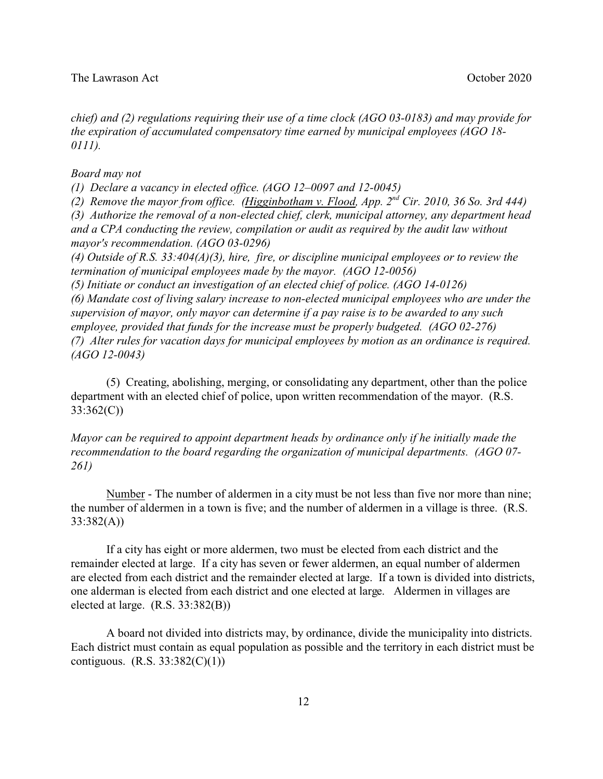*chief) and (2) regulations requiring their use of a time clock (AGO 03-0183) and may provide for the expiration of accumulated compensatory time earned by municipal employees (AGO 18- 0111).*

#### *Board may not*

*(1) Declare a vacancy in elected office. (AGO 12–0097 and 12-0045)*

*(2) Remove the mayor from office. (Higginbotham v. Flood, App. 2nd Cir. 2010, 36 So. 3rd 444)*

*(3) Authorize the removal of a non-elected chief, clerk, municipal attorney, any department head and a CPA conducting the review, compilation or audit as required by the audit law without mayor's recommendation. (AGO 03-0296)*

*(4) Outside of R.S. 33:404(A)(3), hire, fire, or discipline municipal employees or to review the termination of municipal employees made by the mayor. (AGO 12-0056)*

*(5) Initiate or conduct an investigation of an elected chief of police. (AGO 14-0126)*

*(6) Mandate cost of living salary increase to non-elected municipal employees who are under the supervision of mayor, only mayor can determine if a pay raise is to be awarded to any such employee, provided that funds for the increase must be properly budgeted. (AGO 02-276) (7) Alter rules for vacation days for municipal employees by motion as an ordinance is required. (AGO 12-0043)*

(5) Creating, abolishing, merging, or consolidating any department, other than the police department with an elected chief of police, upon written recommendation of the mayor. (R.S. 33:362(C))

*Mayor can be required to appoint department heads by ordinance only if he initially made the recommendation to the board regarding the organization of municipal departments. (AGO 07- 261)*

Number - The number of aldermen in a city must be not less than five nor more than nine; the number of aldermen in a town is five; and the number of aldermen in a village is three. (R.S. 33:382(A))

If a city has eight or more aldermen, two must be elected from each district and the remainder elected at large. If a city has seven or fewer aldermen, an equal number of aldermen are elected from each district and the remainder elected at large. If a town is divided into districts, one alderman is elected from each district and one elected at large. Aldermen in villages are elected at large. (R.S. 33:382(B))

A board not divided into districts may, by ordinance, divide the municipality into districts. Each district must contain as equal population as possible and the territory in each district must be contiguous.  $(R.S. 33:382(C)(1))$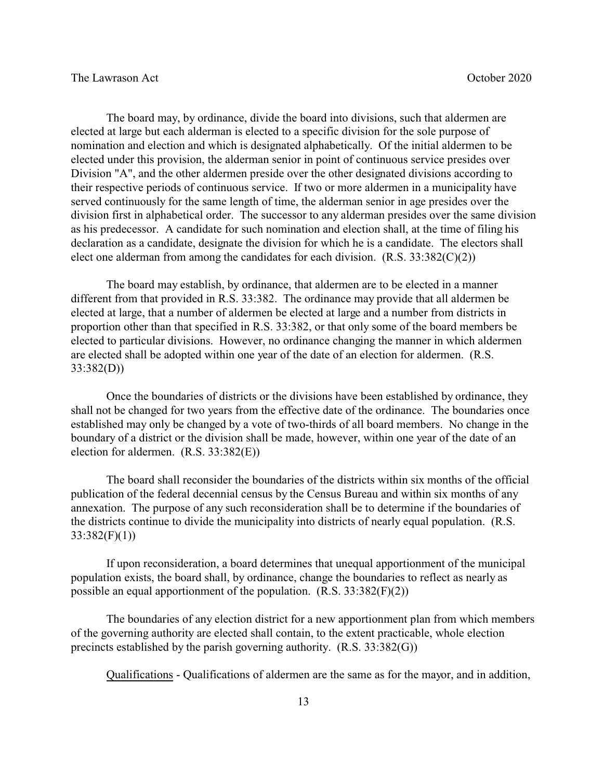The board may, by ordinance, divide the board into divisions, such that aldermen are elected at large but each alderman is elected to a specific division for the sole purpose of nomination and election and which is designated alphabetically. Of the initial aldermen to be elected under this provision, the alderman senior in point of continuous service presides over Division "A", and the other aldermen preside over the other designated divisions according to their respective periods of continuous service. If two or more aldermen in a municipality have served continuously for the same length of time, the alderman senior in age presides over the division first in alphabetical order. The successor to any alderman presides over the same division as his predecessor. A candidate for such nomination and election shall, at the time of filing his declaration as a candidate, designate the division for which he is a candidate. The electors shall elect one alderman from among the candidates for each division. (R.S. 33:382(C)(2))

The board may establish, by ordinance, that aldermen are to be elected in a manner different from that provided in R.S. 33:382. The ordinance may provide that all aldermen be elected at large, that a number of aldermen be elected at large and a number from districts in proportion other than that specified in R.S. 33:382, or that only some of the board members be elected to particular divisions. However, no ordinance changing the manner in which aldermen are elected shall be adopted within one year of the date of an election for aldermen. (R.S. 33:382(D))

Once the boundaries of districts or the divisions have been established by ordinance, they shall not be changed for two years from the effective date of the ordinance. The boundaries once established may only be changed by a vote of two-thirds of all board members. No change in the boundary of a district or the division shall be made, however, within one year of the date of an election for aldermen. (R.S. 33:382(E))

The board shall reconsider the boundaries of the districts within six months of the official publication of the federal decennial census by the Census Bureau and within six months of any annexation. The purpose of any such reconsideration shall be to determine if the boundaries of the districts continue to divide the municipality into districts of nearly equal population. (R.S. 33:382(F)(1))

If upon reconsideration, a board determines that unequal apportionment of the municipal population exists, the board shall, by ordinance, change the boundaries to reflect as nearly as possible an equal apportionment of the population. (R.S. 33:382(F)(2))

The boundaries of any election district for a new apportionment plan from which members of the governing authority are elected shall contain, to the extent practicable, whole election precincts established by the parish governing authority. (R.S. 33:382(G))

Qualifications - Qualifications of aldermen are the same as for the mayor, and in addition,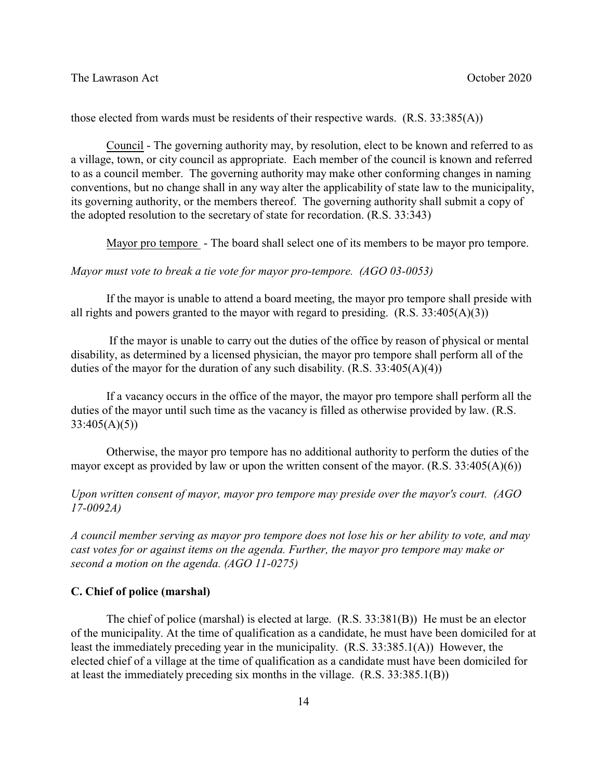those elected from wards must be residents of their respective wards. (R.S. 33:385(A))

Council - The governing authority may, by resolution, elect to be known and referred to as a village, town, or city council as appropriate. Each member of the council is known and referred to as a council member. The governing authority may make other conforming changes in naming conventions, but no change shall in any way alter the applicability of state law to the municipality, its governing authority, or the members thereof. The governing authority shall submit a copy of the adopted resolution to the secretary of state for recordation. (R.S. 33:343)

Mayor pro tempore - The board shall select one of its members to be mayor pro tempore.

*Mayor must vote to break a tie vote for mayor pro-tempore. (AGO 03-0053)*

If the mayor is unable to attend a board meeting, the mayor pro tempore shall preside with all rights and powers granted to the mayor with regard to presiding.  $(R.S. 33:405(A)(3))$ 

 If the mayor is unable to carry out the duties of the office by reason of physical or mental disability, as determined by a licensed physician, the mayor pro tempore shall perform all of the duties of the mayor for the duration of any such disability.  $(R.S. 33:405(A)(4))$ 

If a vacancy occurs in the office of the mayor, the mayor pro tempore shall perform all the duties of the mayor until such time as the vacancy is filled as otherwise provided by law. (R.S. 33:405(A)(5))

Otherwise, the mayor pro tempore has no additional authority to perform the duties of the mayor except as provided by law or upon the written consent of the mayor.  $(R.S. 33:405(A)(6))$ 

*Upon written consent of mayor, mayor pro tempore may preside over the mayor's court. (AGO 17-0092A)*

*A council member serving as mayor pro tempore does not lose his or her ability to vote, and may cast votes for or against items on the agenda. Further, the mayor pro tempore may make or second a motion on the agenda. (AGO 11-0275)*

#### **C. Chief of police (marshal)**

The chief of police (marshal) is elected at large. (R.S. 33:381(B)) He must be an elector of the municipality. At the time of qualification as a candidate, he must have been domiciled for at least the immediately preceding year in the municipality. (R.S. 33:385.1(A)) However, the elected chief of a village at the time of qualification as a candidate must have been domiciled for at least the immediately preceding six months in the village. (R.S. 33:385.1(B))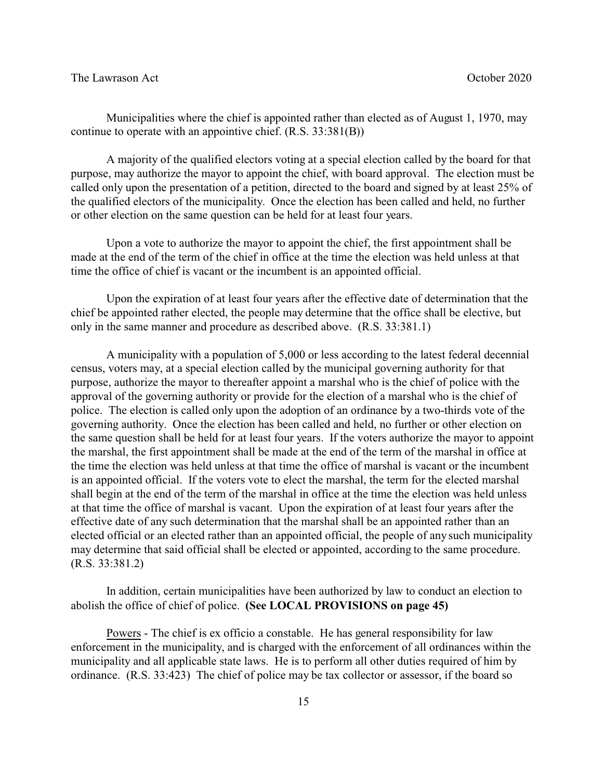Municipalities where the chief is appointed rather than elected as of August 1, 1970, may continue to operate with an appointive chief. (R.S. 33:381(B))

A majority of the qualified electors voting at a special election called by the board for that purpose, may authorize the mayor to appoint the chief, with board approval. The election must be called only upon the presentation of a petition, directed to the board and signed by at least 25% of the qualified electors of the municipality. Once the election has been called and held, no further or other election on the same question can be held for at least four years.

Upon a vote to authorize the mayor to appoint the chief, the first appointment shall be made at the end of the term of the chief in office at the time the election was held unless at that time the office of chief is vacant or the incumbent is an appointed official.

Upon the expiration of at least four years after the effective date of determination that the chief be appointed rather elected, the people may determine that the office shall be elective, but only in the same manner and procedure as described above. (R.S. 33:381.1)

A municipality with a population of 5,000 or less according to the latest federal decennial census, voters may, at a special election called by the municipal governing authority for that purpose, authorize the mayor to thereafter appoint a marshal who is the chief of police with the approval of the governing authority or provide for the election of a marshal who is the chief of police. The election is called only upon the adoption of an ordinance by a two-thirds vote of the governing authority. Once the election has been called and held, no further or other election on the same question shall be held for at least four years. If the voters authorize the mayor to appoint the marshal, the first appointment shall be made at the end of the term of the marshal in office at the time the election was held unless at that time the office of marshal is vacant or the incumbent is an appointed official. If the voters vote to elect the marshal, the term for the elected marshal shall begin at the end of the term of the marshal in office at the time the election was held unless at that time the office of marshal is vacant. Upon the expiration of at least four years after the effective date of any such determination that the marshal shall be an appointed rather than an elected official or an elected rather than an appointed official, the people of any such municipality may determine that said official shall be elected or appointed, according to the same procedure. (R.S. 33:381.2)

In addition, certain municipalities have been authorized by law to conduct an election to abolish the office of chief of police. **(See LOCAL PROVISIONS on page 45)**

Powers - The chief is ex officio a constable. He has general responsibility for law enforcement in the municipality, and is charged with the enforcement of all ordinances within the municipality and all applicable state laws. He is to perform all other duties required of him by ordinance. (R.S. 33:423) The chief of police may be tax collector or assessor, if the board so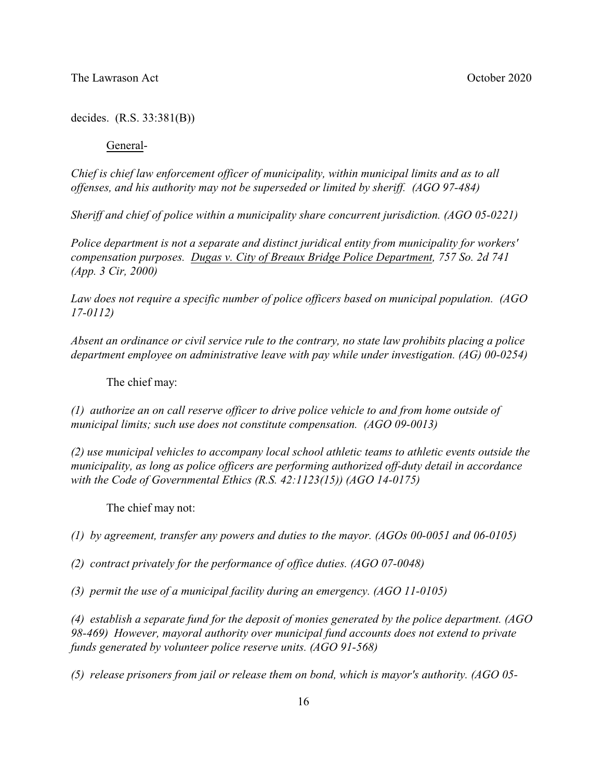decides. (R.S. 33:381(B))

General-

*Chief is chief law enforcement officer of municipality, within municipal limits and as to all offenses, and his authority may not be superseded or limited by sheriff. (AGO 97-484)* 

*Sheriff and chief of police within a municipality share concurrent jurisdiction. (AGO 05-0221)* 

*Police department is not a separate and distinct juridical entity from municipality for workers' compensation purposes. Dugas v. City of Breaux Bridge Police Department, 757 So. 2d 741 (App. 3 Cir, 2000)*

*Law does not require a specific number of police officers based on municipal population. (AGO 17-0112)*

*Absent an ordinance or civil service rule to the contrary, no state law prohibits placing a police department employee on administrative leave with pay while under investigation. (AG) 00-0254)*

The chief may:

*(1) authorize an on call reserve officer to drive police vehicle to and from home outside of municipal limits; such use does not constitute compensation. (AGO 09-0013)*

*(2) use municipal vehicles to accompany local school athletic teams to athletic events outside the municipality, as long as police officers are performing authorized off-duty detail in accordance with the Code of Governmental Ethics (R.S. 42:1123(15)) (AGO 14-0175)*

The chief may not:

*(1) by agreement, transfer any powers and duties to the mayor. (AGOs 00-0051 and 06-0105)*

*(2) contract privately for the performance of office duties. (AGO 07-0048)*

*(3) permit the use of a municipal facility during an emergency. (AGO 11-0105)*

*(4) establish a separate fund for the deposit of monies generated by the police department. (AGO 98-469) However, mayoral authority over municipal fund accounts does not extend to private funds generated by volunteer police reserve units. (AGO 91-568)*

*(5) release prisoners from jail or release them on bond, which is mayor's authority. (AGO 05-*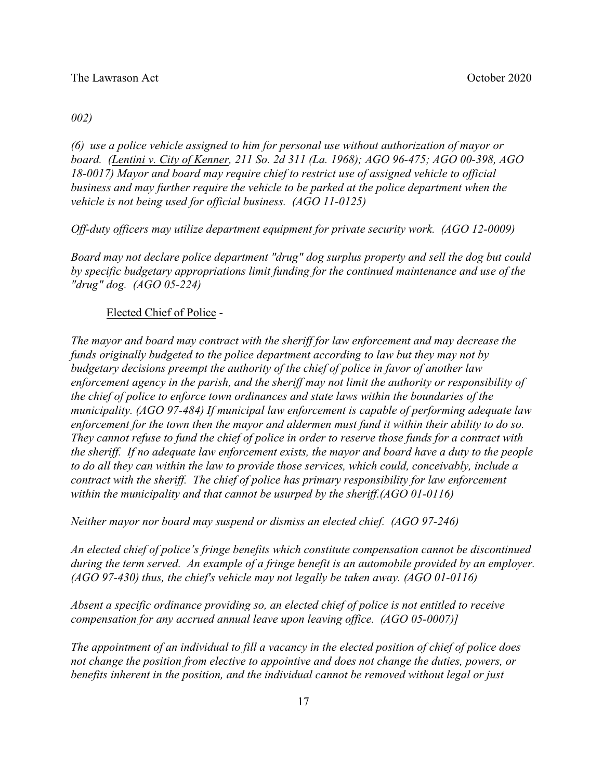#### *002)*

*(6) use a police vehicle assigned to him for personal use without authorization of mayor or board. (Lentini v. City of Kenner, 211 So. 2d 311 (La. 1968); AGO 96-475; AGO 00-398, AGO 18-0017) Mayor and board may require chief to restrict use of assigned vehicle to official business and may further require the vehicle to be parked at the police department when the vehicle is not being used for official business. (AGO 11-0125)*

*Off-duty officers may utilize department equipment for private security work. (AGO 12-0009)*

*Board may not declare police department "drug" dog surplus property and sell the dog but could by specific budgetary appropriations limit funding for the continued maintenance and use of the "drug" dog. (AGO 05-224)*

#### Elected Chief of Police -

*The mayor and board may contract with the sheriff for law enforcement and may decrease the funds originally budgeted to the police department according to law but they may not by budgetary decisions preempt the authority of the chief of police in favor of another law enforcement agency in the parish, and the sheriff may not limit the authority or responsibility of the chief of police to enforce town ordinances and state laws within the boundaries of the municipality. (AGO 97-484) If municipal law enforcement is capable of performing adequate law enforcement for the town then the mayor and aldermen must fund it within their ability to do so. They cannot refuse to fund the chief of police in order to reserve those funds for a contract with the sheriff. If no adequate law enforcement exists, the mayor and board have a duty to the people to do all they can within the law to provide those services, which could, conceivably, include a contract with the sheriff. The chief of police has primary responsibility for law enforcement within the municipality and that cannot be usurped by the sheriff.(AGO 01-0116)*

*Neither mayor nor board may suspend or dismiss an elected chief. (AGO 97-246)*

*An elected chief of police's fringe benefits which constitute compensation cannot be discontinued during the term served. An example of a fringe benefit is an automobile provided by an employer. (AGO 97-430) thus, the chief's vehicle may not legally be taken away. (AGO 01-0116)*

*Absent a specific ordinance providing so, an elected chief of police is not entitled to receive compensation for any accrued annual leave upon leaving office. (AGO 05-0007)]*

*The appointment of an individual to fill a vacancy in the elected position of chief of police does not change the position from elective to appointive and does not change the duties, powers, or benefits inherent in the position, and the individual cannot be removed without legal or just*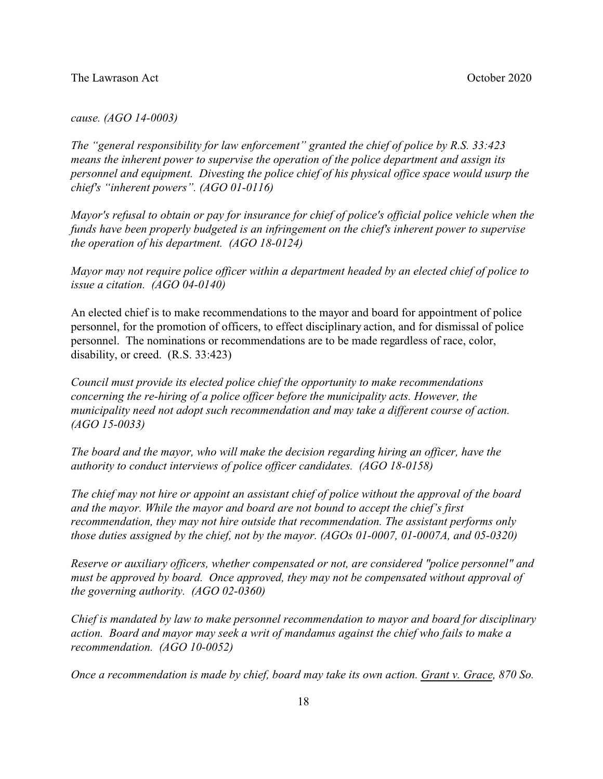*cause. (AGO 14-0003)*

*The "general responsibility for law enforcement" granted the chief of police by R.S. 33:423 means the inherent power to supervise the operation of the police department and assign its personnel and equipment. Divesting the police chief of his physical office space would usurp the chief's "inherent powers". (AGO 01-0116)*

*Mayor's refusal to obtain or pay for insurance for chief of police's official police vehicle when the funds have been properly budgeted is an infringement on the chief's inherent power to supervise the operation of his department. (AGO 18-0124)*

*Mayor may not require police officer within a department headed by an elected chief of police to issue a citation. (AGO 04-0140)* 

An elected chief is to make recommendations to the mayor and board for appointment of police personnel, for the promotion of officers, to effect disciplinary action, and for dismissal of police personnel. The nominations or recommendations are to be made regardless of race, color, disability, or creed. (R.S. 33:423)

*Council must provide its elected police chief the opportunity to make recommendations concerning the re-hiring of a police officer before the municipality acts. However, the municipality need not adopt such recommendation and may take a different course of action. (AGO 15-0033)*

*The board and the mayor, who will make the decision regarding hiring an officer, have the authority to conduct interviews of police officer candidates. (AGO 18-0158)*

*The chief may not hire or appoint an assistant chief of police without the approval of the board and the mayor. While the mayor and board are not bound to accept the chief's first recommendation, they may not hire outside that recommendation. The assistant performs only those duties assigned by the chief, not by the mayor. (AGOs 01-0007, 01-0007A, and 05-0320)*

*Reserve or auxiliary officers, whether compensated or not, are considered "police personnel" and must be approved by board. Once approved, they may not be compensated without approval of the governing authority. (AGO 02-0360)* 

*Chief is mandated by law to make personnel recommendation to mayor and board for disciplinary action. Board and mayor may seek a writ of mandamus against the chief who fails to make a recommendation. (AGO 10-0052)*

*Once a recommendation is made by chief, board may take its own action. Grant v. Grace, 870 So.*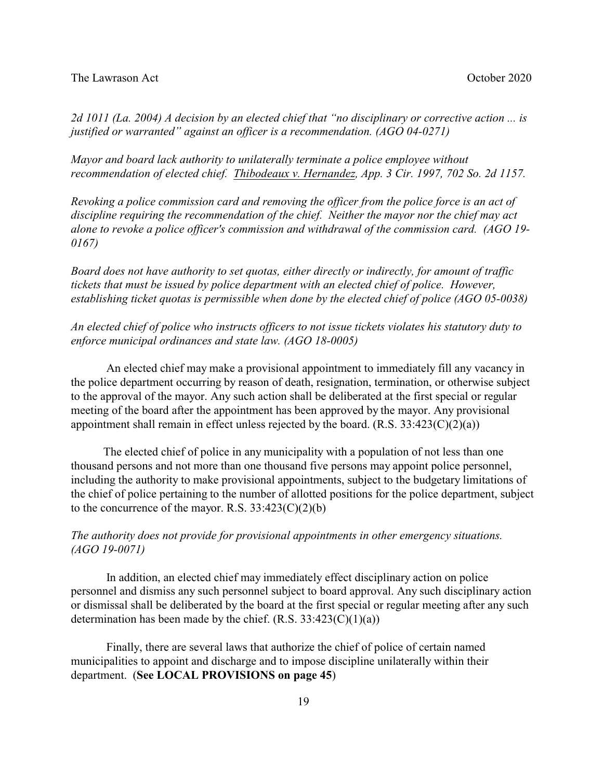*2d 1011 (La. 2004) A decision by an elected chief that "no disciplinary or corrective action ... is justified or warranted" against an officer is a recommendation. (AGO 04-0271)* 

*Mayor and board lack authority to unilaterally terminate a police employee without recommendation of elected chief. Thibodeaux v. Hernandez, App. 3 Cir. 1997, 702 So. 2d 1157.* 

*Revoking a police commission card and removing the officer from the police force is an act of discipline requiring the recommendation of the chief. Neither the mayor nor the chief may act alone to revoke a police officer's commission and withdrawal of the commission card. (AGO 19- 0167)*

*Board does not have authority to set quotas, either directly or indirectly, for amount of traffic tickets that must be issued by police department with an elected chief of police. However, establishing ticket quotas is permissible when done by the elected chief of police (AGO 05-0038)*

*An elected chief of police who instructs officers to not issue tickets violates his statutory duty to enforce municipal ordinances and state law. (AGO 18-0005)*

An elected chief may make a provisional appointment to immediately fill any vacancy in the police department occurring by reason of death, resignation, termination, or otherwise subject to the approval of the mayor. Any such action shall be deliberated at the first special or regular meeting of the board after the appointment has been approved by the mayor. Any provisional appointment shall remain in effect unless rejected by the board.  $(R.S. 33:423(C)(2)(a))$ 

 The elected chief of police in any municipality with a population of not less than one thousand persons and not more than one thousand five persons may appoint police personnel, including the authority to make provisional appointments, subject to the budgetary limitations of the chief of police pertaining to the number of allotted positions for the police department, subject to the concurrence of the mayor. R.S.  $33:423(C)(2)(b)$ 

*The authority does not provide for provisional appointments in other emergency situations. (AGO 19-0071)*

In addition, an elected chief may immediately effect disciplinary action on police personnel and dismiss any such personnel subject to board approval. Any such disciplinary action or dismissal shall be deliberated by the board at the first special or regular meeting after any such determination has been made by the chief.  $(R.S. 33:423(C)(1)(a))$ 

Finally, there are several laws that authorize the chief of police of certain named municipalities to appoint and discharge and to impose discipline unilaterally within their department. (**See LOCAL PROVISIONS on page 45**)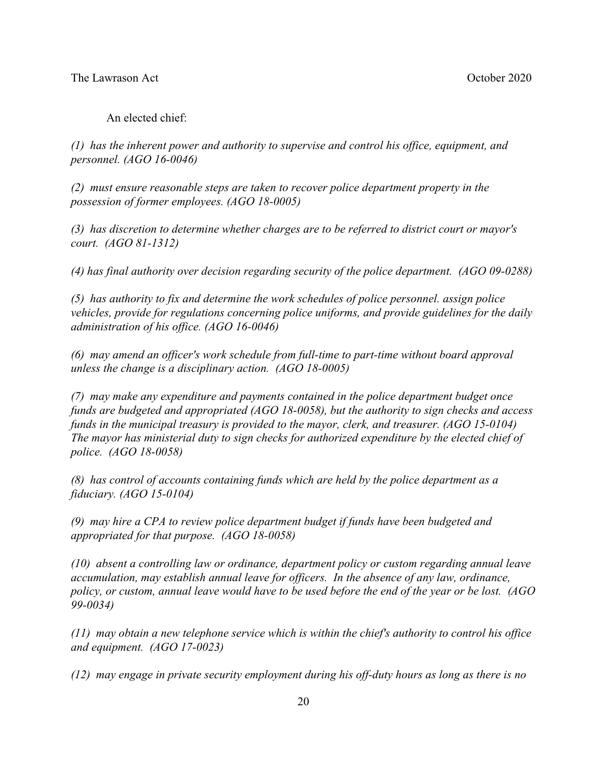An elected chief:

*(1) has the inherent power and authority to supervise and control his office, equipment, and personnel. (AGO 16-0046)*

*(2) must ensure reasonable steps are taken to recover police department property in the possession of former employees. (AGO 18-0005)*

*(3) has discretion to determine whether charges are to be referred to district court or mayor's court. (AGO 81-1312)* 

*(4) has final authority over decision regarding security of the police department. (AGO 09-0288)*

*(5) has authority to fix and determine the work schedules of police personnel. assign police vehicles, provide for regulations concerning police uniforms, and provide guidelines for the daily administration of his office. (AGO 16-0046)*

*(6) may amend an officer's work schedule from full-time to part-time without board approval unless the change is a disciplinary action. (AGO 18-0005)*

*(7) may make any expenditure and payments contained in the police department budget once funds are budgeted and appropriated (AGO 18-0058), but the authority to sign checks and access funds in the municipal treasury is provided to the mayor, clerk, and treasurer. (AGO 15-0104) The mayor has ministerial duty to sign checks for authorized expenditure by the elected chief of police. (AGO 18-0058)*

*(8) has control of accounts containing funds which are held by the police department as a fiduciary. (AGO 15-0104)*

*(9) may hire a CPA to review police department budget if funds have been budgeted and appropriated for that purpose. (AGO 18-0058)*

*(10) absent a controlling law or ordinance, department policy or custom regarding annual leave accumulation, may establish annual leave for officers. In the absence of any law, ordinance, policy, or custom, annual leave would have to be used before the end of the year or be lost. (AGO 99-0034)*

*(11) may obtain a new telephone service which is within the chief's authority to control his office and equipment. (AGO 17-0023)*

*(12) may engage in private security employment during his off-duty hours as long as there is no*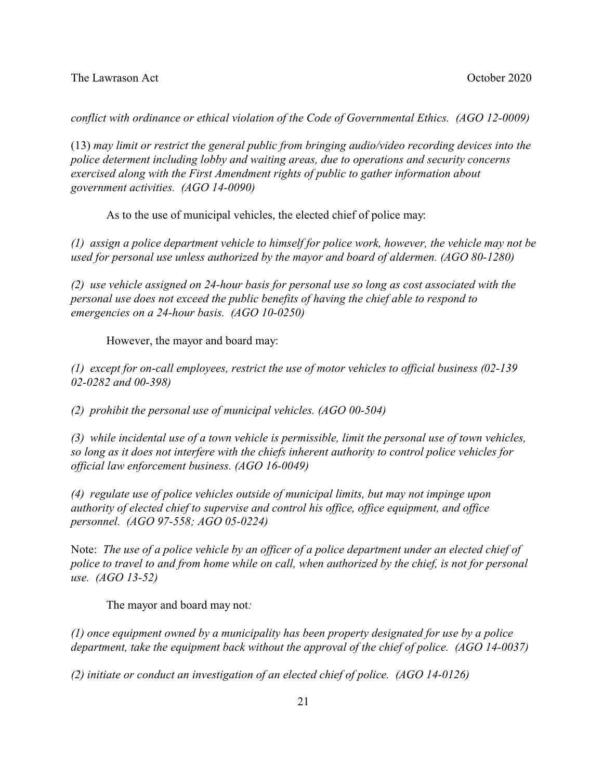*conflict with ordinance or ethical violation of the Code of Governmental Ethics. (AGO 12-0009)*

(13) *may limit or restrict the general public from bringing audio/video recording devices into the police determent including lobby and waiting areas, due to operations and security concerns exercised along with the First Amendment rights of public to gather information about government activities. (AGO 14-0090)*

As to the use of municipal vehicles, the elected chief of police may:

*(1) assign a police department vehicle to himself for police work, however, the vehicle may not be used for personal use unless authorized by the mayor and board of aldermen. (AGO 80-1280)*

*(2) use vehicle assigned on 24-hour basis for personal use so long as cost associated with the personal use does not exceed the public benefits of having the chief able to respond to emergencies on a 24-hour basis. (AGO 10-0250)*

However, the mayor and board may:

*(1) except for on-call employees, restrict the use of motor vehicles to official business (02-139 02-0282 and 00-398)*

*(2) prohibit the personal use of municipal vehicles. (AGO 00-504)*

*(3) while incidental use of a town vehicle is permissible, limit the personal use of town vehicles, so long as it does not interfere with the chiefs inherent authority to control police vehicles for official law enforcement business. (AGO 16-0049)*

*(4) regulate use of police vehicles outside of municipal limits, but may not impinge upon authority of elected chief to supervise and control his office, office equipment, and office personnel. (AGO 97-558; AGO 05-0224)*

Note: *The use of a police vehicle by an officer of a police department under an elected chief of police to travel to and from home while on call, when authorized by the chief, is not for personal use. (AGO 13-52)*

The mayor and board may not*:*

*(1) once equipment owned by a municipality has been property designated for use by a police department, take the equipment back without the approval of the chief of police. (AGO 14-0037)*

*(2) initiate or conduct an investigation of an elected chief of police. (AGO 14-0126)*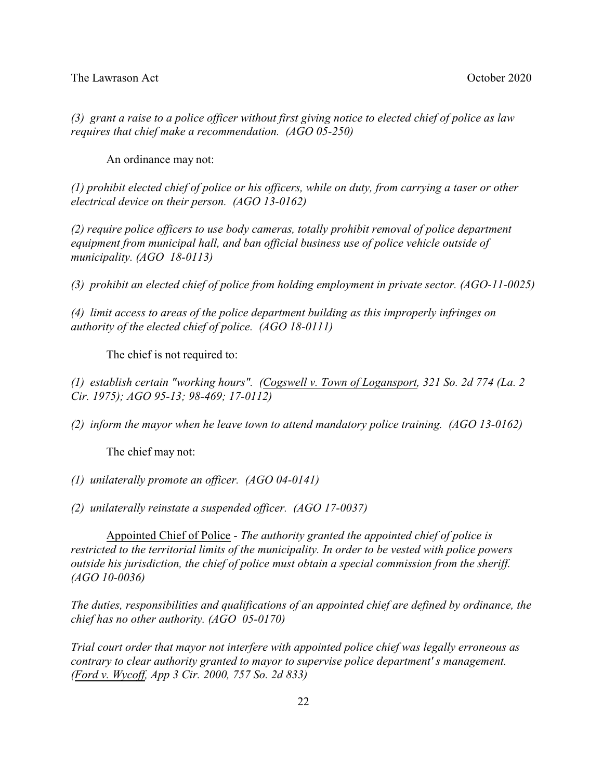*(3) grant a raise to a police officer without first giving notice to elected chief of police as law requires that chief make a recommendation. (AGO 05-250)* 

An ordinance may not:

*(1) prohibit elected chief of police or his officers, while on duty, from carrying a taser or other electrical device on their person. (AGO 13-0162)*

*(2) require police officers to use body cameras, totally prohibit removal of police department equipment from municipal hall, and ban official business use of police vehicle outside of municipality. (AGO 18-0113)*

*(3) prohibit an elected chief of police from holding employment in private sector. (AGO-11-0025)*

*(4) limit access to areas of the police department building as this improperly infringes on authority of the elected chief of police. (AGO 18-0111)*

The chief is not required to:

*(1) establish certain "working hours". (Cogswell v. Town of Logansport, 321 So. 2d 774 (La. 2 Cir. 1975); AGO 95-13; 98-469; 17-0112)*

*(2) inform the mayor when he leave town to attend mandatory police training. (AGO 13-0162)*

The chief may not:

*(1) unilaterally promote an officer. (AGO 04-0141)*

*(2) unilaterally reinstate a suspended officer. (AGO 17-0037)*

Appointed Chief of Police - *The authority granted the appointed chief of police is restricted to the territorial limits of the municipality. In order to be vested with police powers outside his jurisdiction, the chief of police must obtain a special commission from the sheriff. (AGO 10-0036)*

*The duties, responsibilities and qualifications of an appointed chief are defined by ordinance, the chief has no other authority. (AGO 05-0170)*

*Trial court order that mayor not interfere with appointed police chief was legally erroneous as contrary to clear authority granted to mayor to supervise police department' s management. (Ford v. Wycoff, App 3 Cir. 2000, 757 So. 2d 833)*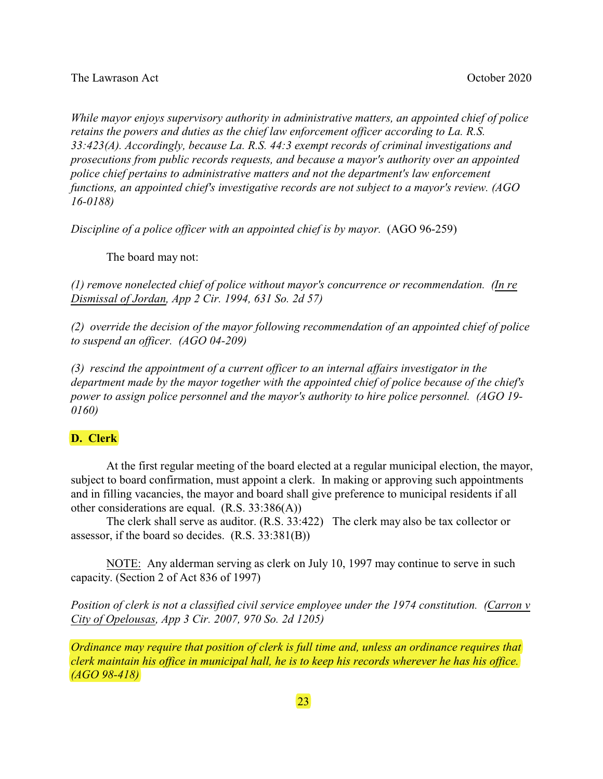*While mayor enjoys supervisory authority in administrative matters, an appointed chief of police retains the powers and duties as the chief law enforcement officer according to La. R.S. 33:423(A). Accordingly, because La. R.S. 44:3 exempt records of criminal investigations and prosecutions from public records requests, and because a mayor's authority over an appointed police chief pertains to administrative matters and not the department's law enforcement functions, an appointed chief's investigative records are not subject to a mayor's review. (AGO 16-0188)*

*Discipline of a police officer with an appointed chief is by mayor.* (AGO 96-259)

The board may not:

*(1) remove nonelected chief of police without mayor's concurrence or recommendation. (In re Dismissal of Jordan, App 2 Cir. 1994, 631 So. 2d 57)*

*(2) override the decision of the mayor following recommendation of an appointed chief of police to suspend an officer. (AGO 04-209)*

*(3) rescind the appointment of a current officer to an internal affairs investigator in the department made by the mayor together with the appointed chief of police because of the chief's power to assign police personnel and the mayor's authority to hire police personnel. (AGO 19- 0160)*

# **D. Clerk**

At the first regular meeting of the board elected at a regular municipal election, the mayor, subject to board confirmation, must appoint a clerk. In making or approving such appointments and in filling vacancies, the mayor and board shall give preference to municipal residents if all other considerations are equal. (R.S. 33:386(A))

The clerk shall serve as auditor. (R.S. 33:422) The clerk may also be tax collector or assessor, if the board so decides. (R.S. 33:381(B))

NOTE: Any alderman serving as clerk on July 10, 1997 may continue to serve in such capacity. (Section 2 of Act 836 of 1997)

*Position of clerk is not a classified civil service employee under the 1974 constitution. (Carron v City of Opelousas, App 3 Cir. 2007, 970 So. 2d 1205)*

*Ordinance may require that position of clerk is full time and, unless an ordinance requires that clerk maintain his office in municipal hall, he is to keep his records wherever he has his office. (AGO 98-418)*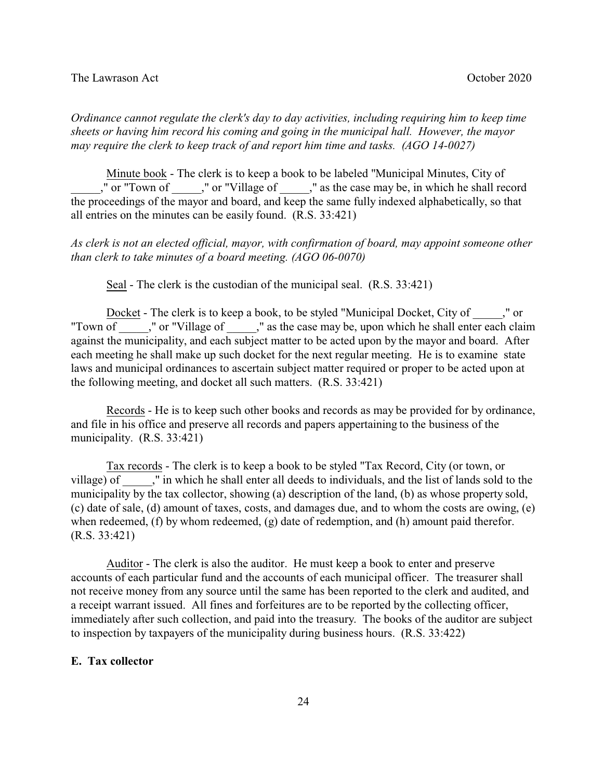*Ordinance cannot regulate the clerk's day to day activities, including requiring him to keep time sheets or having him record his coming and going in the municipal hall. However, the mayor may require the clerk to keep track of and report him time and tasks. (AGO 14-0027)*

Minute book - The clerk is to keep a book to be labeled "Municipal Minutes, City of \_\_\_\_\_," or "Town of \_\_\_\_\_," or "Village of \_\_\_\_\_," as the case may be, in which he shall record the proceedings of the mayor and board, and keep the same fully indexed alphabetically, so that all entries on the minutes can be easily found. (R.S. 33:421)

*As clerk is not an elected official, mayor, with confirmation of board, may appoint someone other than clerk to take minutes of a board meeting. (AGO 06-0070)*

Seal - The clerk is the custodian of the municipal seal. (R.S. 33:421)

Docket - The clerk is to keep a book, to be styled "Municipal Docket, City of  $\ddot{\hspace{1cm}}$ ," or "Town of \_\_\_\_\_," or "Village of \_\_\_\_\_," as the case may be, upon which he shall enter each claim against the municipality, and each subject matter to be acted upon by the mayor and board. After each meeting he shall make up such docket for the next regular meeting. He is to examine state laws and municipal ordinances to ascertain subject matter required or proper to be acted upon at the following meeting, and docket all such matters. (R.S. 33:421)

Records - He is to keep such other books and records as may be provided for by ordinance, and file in his office and preserve all records and papers appertaining to the business of the municipality. (R.S. 33:421)

Tax records - The clerk is to keep a book to be styled "Tax Record, City (or town, or village) of \_\_\_\_\_," in which he shall enter all deeds to individuals, and the list of lands sold to the municipality by the tax collector, showing (a) description of the land, (b) as whose property sold, (c) date of sale, (d) amount of taxes, costs, and damages due, and to whom the costs are owing, (e) when redeemed, (f) by whom redeemed, (g) date of redemption, and (h) amount paid therefor. (R.S. 33:421)

Auditor - The clerk is also the auditor. He must keep a book to enter and preserve accounts of each particular fund and the accounts of each municipal officer. The treasurer shall not receive money from any source until the same has been reported to the clerk and audited, and a receipt warrant issued. All fines and forfeitures are to be reported by the collecting officer, immediately after such collection, and paid into the treasury. The books of the auditor are subject to inspection by taxpayers of the municipality during business hours. (R.S. 33:422)

#### **E. Tax collector**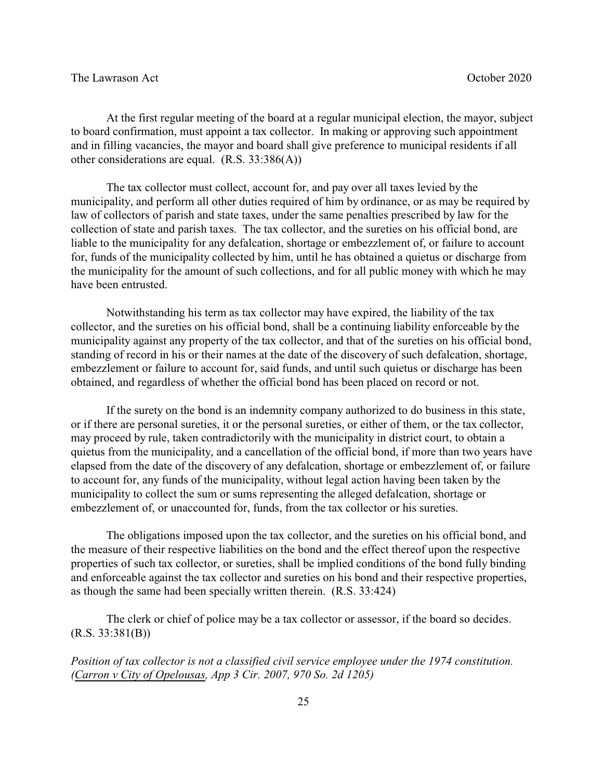## The Lawrason Act **October 2020**

At the first regular meeting of the board at a regular municipal election, the mayor, subject to board confirmation, must appoint a tax collector. In making or approving such appointment and in filling vacancies, the mayor and board shall give preference to municipal residents if all other considerations are equal. (R.S. 33:386(A))

The tax collector must collect, account for, and pay over all taxes levied by the municipality, and perform all other duties required of him by ordinance, or as may be required by law of collectors of parish and state taxes, under the same penalties prescribed by law for the collection of state and parish taxes. The tax collector, and the sureties on his official bond, are liable to the municipality for any defalcation, shortage or embezzlement of, or failure to account for, funds of the municipality collected by him, until he has obtained a quietus or discharge from the municipality for the amount of such collections, and for all public money with which he may have been entrusted.

Notwithstanding his term as tax collector may have expired, the liability of the tax collector, and the sureties on his official bond, shall be a continuing liability enforceable by the municipality against any property of the tax collector, and that of the sureties on his official bond, standing of record in his or their names at the date of the discovery of such defalcation, shortage, embezzlement or failure to account for, said funds, and until such quietus or discharge has been obtained, and regardless of whether the official bond has been placed on record or not.

If the surety on the bond is an indemnity company authorized to do business in this state, or if there are personal sureties, it or the personal sureties, or either of them, or the tax collector, may proceed by rule, taken contradictorily with the municipality in district court, to obtain a quietus from the municipality, and a cancellation of the official bond, if more than two years have elapsed from the date of the discovery of any defalcation, shortage or embezzlement of, or failure to account for, any funds of the municipality, without legal action having been taken by the municipality to collect the sum or sums representing the alleged defalcation, shortage or embezzlement of, or unaccounted for, funds, from the tax collector or his sureties.

The obligations imposed upon the tax collector, and the sureties on his official bond, and the measure of their respective liabilities on the bond and the effect thereof upon the respective properties of such tax collector, or sureties, shall be implied conditions of the bond fully binding and enforceable against the tax collector and sureties on his bond and their respective properties, as though the same had been specially written therein. (R.S. 33:424)

The clerk or chief of police may be a tax collector or assessor, if the board so decides.  $(R.S. 33:381(B))$ 

*Position of tax collector is not a classified civil service employee under the 1974 constitution. (Carron v City of Opelousas, App 3 Cir. 2007, 970 So. 2d 1205)*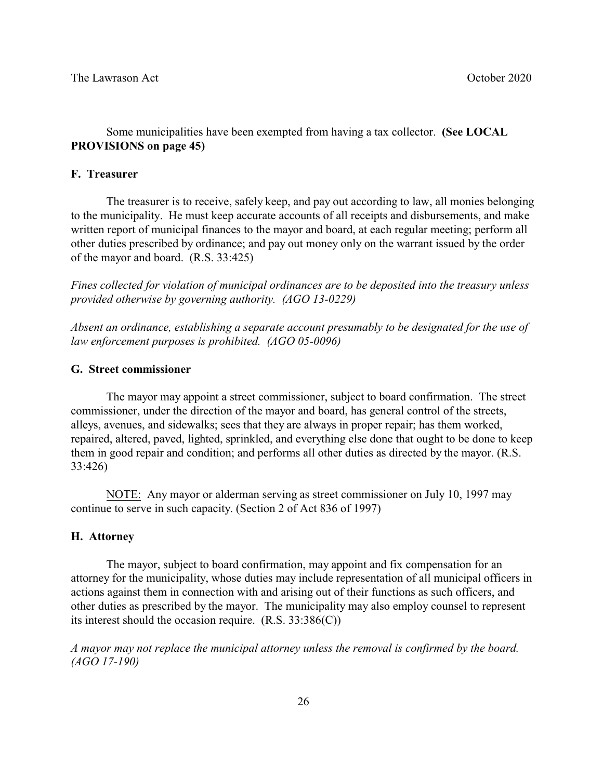# Some municipalities have been exempted from having a tax collector. **(See LOCAL PROVISIONS on page 45)**

# **F. Treasurer**

The treasurer is to receive, safely keep, and pay out according to law, all monies belonging to the municipality. He must keep accurate accounts of all receipts and disbursements, and make written report of municipal finances to the mayor and board, at each regular meeting; perform all other duties prescribed by ordinance; and pay out money only on the warrant issued by the order of the mayor and board. (R.S. 33:425)

*Fines collected for violation of municipal ordinances are to be deposited into the treasury unless provided otherwise by governing authority. (AGO 13-0229)*

*Absent an ordinance, establishing a separate account presumably to be designated for the use of law enforcement purposes is prohibited. (AGO 05-0096)*

## **G. Street commissioner**

The mayor may appoint a street commissioner, subject to board confirmation. The street commissioner, under the direction of the mayor and board, has general control of the streets, alleys, avenues, and sidewalks; sees that they are always in proper repair; has them worked, repaired, altered, paved, lighted, sprinkled, and everything else done that ought to be done to keep them in good repair and condition; and performs all other duties as directed by the mayor. (R.S. 33:426)

NOTE: Any mayor or alderman serving as street commissioner on July 10, 1997 may continue to serve in such capacity. (Section 2 of Act 836 of 1997)

# **H. Attorney**

The mayor, subject to board confirmation, may appoint and fix compensation for an attorney for the municipality, whose duties may include representation of all municipal officers in actions against them in connection with and arising out of their functions as such officers, and other duties as prescribed by the mayor. The municipality may also employ counsel to represent its interest should the occasion require. (R.S. 33:386(C))

*A mayor may not replace the municipal attorney unless the removal is confirmed by the board. (AGO 17-190)*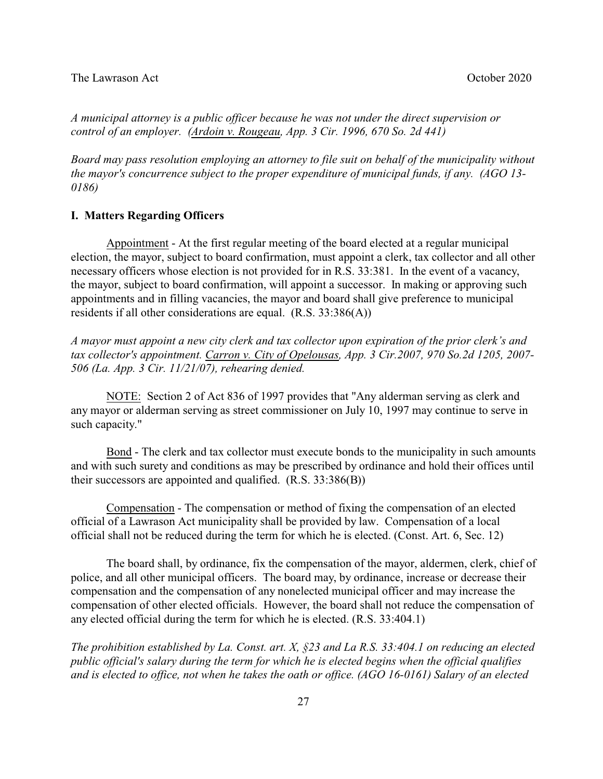*A municipal attorney is a public officer because he was not under the direct supervision or control of an employer. (Ardoin v. Rougeau, App. 3 Cir. 1996, 670 So. 2d 441)*

*Board may pass resolution employing an attorney to file suit on behalf of the municipality without the mayor's concurrence subject to the proper expenditure of municipal funds, if any. (AGO 13- 0186)*

## **I. Matters Regarding Officers**

Appointment - At the first regular meeting of the board elected at a regular municipal election, the mayor, subject to board confirmation, must appoint a clerk, tax collector and all other necessary officers whose election is not provided for in R.S. 33:381. In the event of a vacancy, the mayor, subject to board confirmation, will appoint a successor. In making or approving such appointments and in filling vacancies, the mayor and board shall give preference to municipal residents if all other considerations are equal. (R.S. 33:386(A))

*A mayor must appoint a new city clerk and tax collector upon expiration of the prior clerk's and tax collector's appointment. Carron v. City of Opelousas, App. 3 Cir.2007, 970 So.2d 1205, 2007- 506 (La. App. 3 Cir. 11/21/07), rehearing denied.* 

NOTE: Section 2 of Act 836 of 1997 provides that "Any alderman serving as clerk and any mayor or alderman serving as street commissioner on July 10, 1997 may continue to serve in such capacity."

Bond - The clerk and tax collector must execute bonds to the municipality in such amounts and with such surety and conditions as may be prescribed by ordinance and hold their offices until their successors are appointed and qualified. (R.S. 33:386(B))

Compensation - The compensation or method of fixing the compensation of an elected official of a Lawrason Act municipality shall be provided by law. Compensation of a local official shall not be reduced during the term for which he is elected. (Const. Art. 6, Sec. 12)

The board shall, by ordinance, fix the compensation of the mayor, aldermen, clerk, chief of police, and all other municipal officers. The board may, by ordinance, increase or decrease their compensation and the compensation of any nonelected municipal officer and may increase the compensation of other elected officials. However, the board shall not reduce the compensation of any elected official during the term for which he is elected. (R.S. 33:404.1)

*The prohibition established by La. Const. art. X, §23 and La R.S. 33:404.1 on reducing an elected public official's salary during the term for which he is elected begins when the official qualifies and is elected to office, not when he takes the oath or office. (AGO 16-0161) Salary of an elected*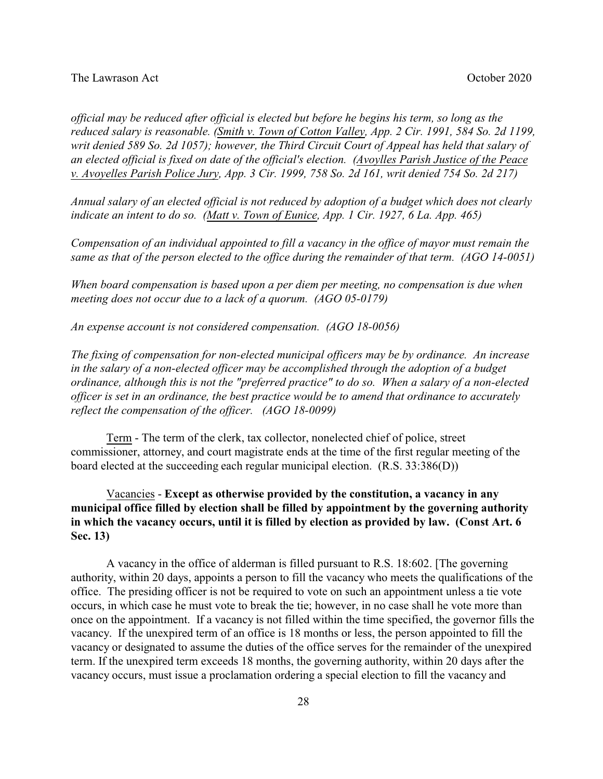*official may be reduced after official is elected but before he begins his term, so long as the reduced salary is reasonable. (Smith v. Town of Cotton Valley, App. 2 Cir. 1991, 584 So. 2d 1199, writ denied 589 So. 2d 1057); however, the Third Circuit Court of Appeal has held that salary of an elected official is fixed on date of the official's election. (Avoylles Parish Justice of the Peace v. Avoyelles Parish Police Jury, App. 3 Cir. 1999, 758 So. 2d 161, writ denied 754 So. 2d 217)*

*Annual salary of an elected official is not reduced by adoption of a budget which does not clearly indicate an intent to do so. (Matt v. Town of Eunice, App. 1 Cir. 1927, 6 La. App. 465)*

*Compensation of an individual appointed to fill a vacancy in the office of mayor must remain the same as that of the person elected to the office during the remainder of that term. (AGO 14-0051)*

*When board compensation is based upon a per diem per meeting, no compensation is due when meeting does not occur due to a lack of a quorum. (AGO 05-0179)*

*An expense account is not considered compensation. (AGO 18-0056)*

*The fixing of compensation for non-elected municipal officers may be by ordinance. An increase in the salary of a non-elected officer may be accomplished through the adoption of a budget ordinance, although this is not the "preferred practice" to do so. When a salary of a non-elected officer is set in an ordinance, the best practice would be to amend that ordinance to accurately reflect the compensation of the officer. (AGO 18-0099)*

Term - The term of the clerk, tax collector, nonelected chief of police, street commissioner, attorney, and court magistrate ends at the time of the first regular meeting of the board elected at the succeeding each regular municipal election. (R.S. 33:386(D))

Vacancies - **Except as otherwise provided by the constitution, a vacancy in any municipal office filled by election shall be filled by appointment by the governing authority in which the vacancy occurs, until it is filled by election as provided by law. (Const Art. 6 Sec. 13)**

A vacancy in the office of alderman is filled pursuant to R.S. 18:602. [The governing authority, within 20 days, appoints a person to fill the vacancy who meets the qualifications of the office. The presiding officer is not be required to vote on such an appointment unless a tie vote occurs, in which case he must vote to break the tie; however, in no case shall he vote more than once on the appointment. If a vacancy is not filled within the time specified, the governor fills the vacancy. If the unexpired term of an office is 18 months or less, the person appointed to fill the vacancy or designated to assume the duties of the office serves for the remainder of the unexpired term. If the unexpired term exceeds 18 months, the governing authority, within 20 days after the vacancy occurs, must issue a proclamation ordering a special election to fill the vacancy and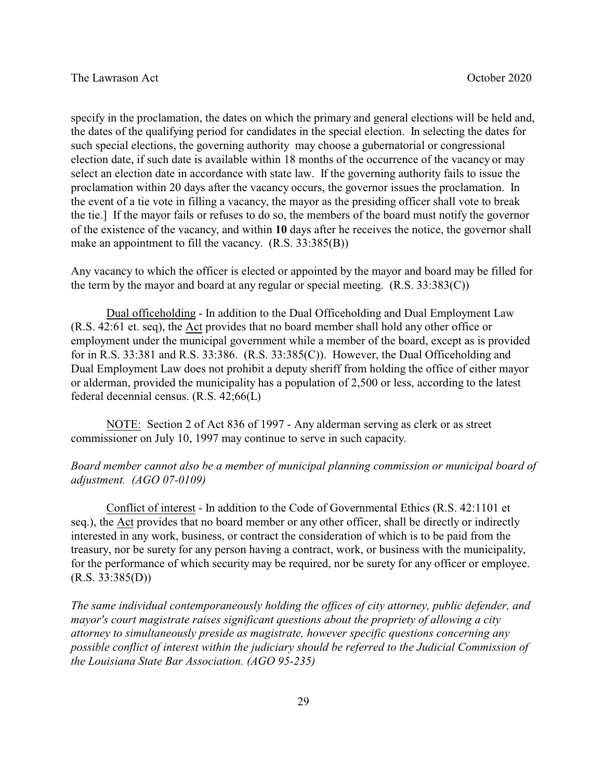specify in the proclamation, the dates on which the primary and general elections will be held and, the dates of the qualifying period for candidates in the special election. In selecting the dates for such special elections, the governing authority may choose a gubernatorial or congressional election date, if such date is available within 18 months of the occurrence of the vacancy or may select an election date in accordance with state law. If the governing authority fails to issue the proclamation within 20 days after the vacancy occurs, the governor issues the proclamation. In the event of a tie vote in filling a vacancy, the mayor as the presiding officer shall vote to break the tie.] If the mayor fails or refuses to do so, the members of the board must notify the governor of the existence of the vacancy, and within **10** days after he receives the notice, the governor shall make an appointment to fill the vacancy.  $(R.S. 33:385(B))$ 

Any vacancy to which the officer is elected or appointed by the mayor and board may be filled for the term by the mayor and board at any regular or special meeting. (R.S. 33:383(C))

Dual officeholding - In addition to the Dual Officeholding and Dual Employment Law (R.S. 42:61 et. seq), the Act provides that no board member shall hold any other office or employment under the municipal government while a member of the board, except as is provided for in R.S. 33:381 and R.S. 33:386. (R.S. 33:385(C)). However, the Dual Officeholding and Dual Employment Law does not prohibit a deputy sheriff from holding the office of either mayor or alderman, provided the municipality has a population of 2,500 or less, according to the latest federal decennial census. (R.S. 42;66(L)

NOTE: Section 2 of Act 836 of 1997 - Any alderman serving as clerk or as street commissioner on July 10, 1997 may continue to serve in such capacity.

# *Board member cannot also be a member of municipal planning commission or municipal board of adjustment. (AGO 07-0109)*

Conflict of interest - In addition to the Code of Governmental Ethics (R.S. 42:1101 et seq.), the Act provides that no board member or any other officer, shall be directly or indirectly interested in any work, business, or contract the consideration of which is to be paid from the treasury, nor be surety for any person having a contract, work, or business with the municipality, for the performance of which security may be required, nor be surety for any officer or employee.  $(R.S. 33:385(D))$ 

*The same individual contemporaneously holding the offices of city attorney, public defender, and mayor's court magistrate raises significant questions about the propriety of allowing a city attorney to simultaneously preside as magistrate, however specific questions concerning any possible conflict of interest within the judiciary should be referred to the Judicial Commission of the Louisiana State Bar Association. (AGO 95-235)*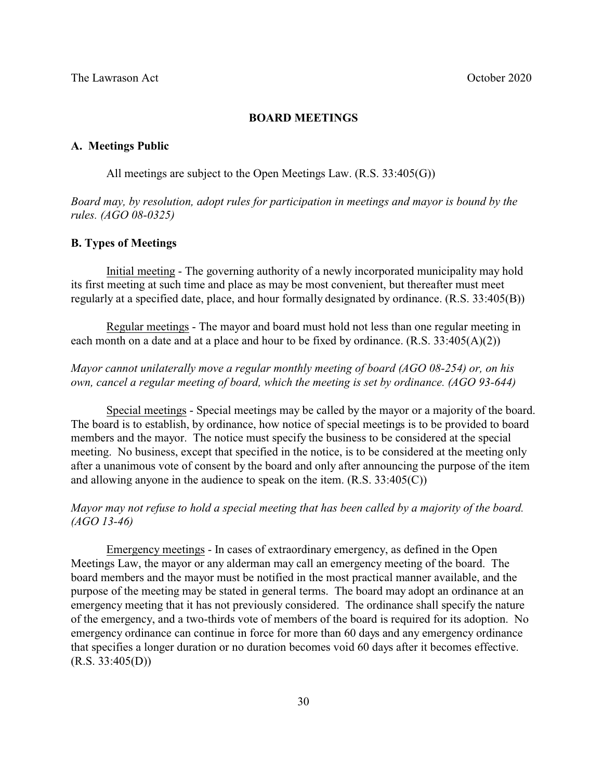#### **BOARD MEETINGS**

## **A. Meetings Public**

All meetings are subject to the Open Meetings Law. (R.S. 33:405(G))

*Board may, by resolution, adopt rules for participation in meetings and mayor is bound by the rules. (AGO 08-0325)*

# **B. Types of Meetings**

Initial meeting - The governing authority of a newly incorporated municipality may hold its first meeting at such time and place as may be most convenient, but thereafter must meet regularly at a specified date, place, and hour formally designated by ordinance. (R.S. 33:405(B))

Regular meetings - The mayor and board must hold not less than one regular meeting in each month on a date and at a place and hour to be fixed by ordinance.  $(R.S. 33:405(A)(2))$ 

*Mayor cannot unilaterally move a regular monthly meeting of board (AGO 08-254) or, on his own, cancel a regular meeting of board, which the meeting is set by ordinance. (AGO 93-644)*

Special meetings - Special meetings may be called by the mayor or a majority of the board. The board is to establish, by ordinance, how notice of special meetings is to be provided to board members and the mayor. The notice must specify the business to be considered at the special meeting. No business, except that specified in the notice, is to be considered at the meeting only after a unanimous vote of consent by the board and only after announcing the purpose of the item and allowing anyone in the audience to speak on the item. (R.S. 33:405(C))

*Mayor may not refuse to hold a special meeting that has been called by a majority of the board. (AGO 13-46)*

Emergency meetings - In cases of extraordinary emergency, as defined in the Open Meetings Law, the mayor or any alderman may call an emergency meeting of the board. The board members and the mayor must be notified in the most practical manner available, and the purpose of the meeting may be stated in general terms. The board may adopt an ordinance at an emergency meeting that it has not previously considered. The ordinance shall specify the nature of the emergency, and a two-thirds vote of members of the board is required for its adoption. No emergency ordinance can continue in force for more than 60 days and any emergency ordinance that specifies a longer duration or no duration becomes void 60 days after it becomes effective.  $(R.S. 33:405(D))$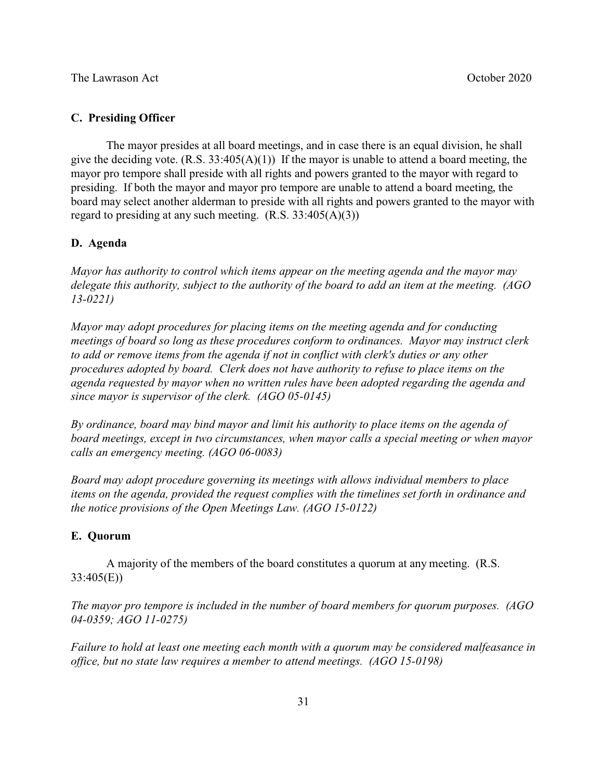#### **C. Presiding Officer**

The mayor presides at all board meetings, and in case there is an equal division, he shall give the deciding vote.  $(R.S. 33:405(A)(1))$  If the mayor is unable to attend a board meeting, the mayor pro tempore shall preside with all rights and powers granted to the mayor with regard to presiding. If both the mayor and mayor pro tempore are unable to attend a board meeting, the board may select another alderman to preside with all rights and powers granted to the mayor with regard to presiding at any such meeting.  $(R.S. 33:405(A)(3))$ 

# **D. Agenda**

*Mayor has authority to control which items appear on the meeting agenda and the mayor may delegate this authority, subject to the authority of the board to add an item at the meeting. (AGO 13-0221)* 

*Mayor may adopt procedures for placing items on the meeting agenda and for conducting meetings of board so long as these procedures conform to ordinances. Mayor may instruct clerk to add or remove items from the agenda if not in conflict with clerk's duties or any other procedures adopted by board. Clerk does not have authority to refuse to place items on the agenda requested by mayor when no written rules have been adopted regarding the agenda and since mayor is supervisor of the clerk. (AGO 05-0145)* 

*By ordinance, board may bind mayor and limit his authority to place items on the agenda of board meetings, except in two circumstances, when mayor calls a special meeting or when mayor calls an emergency meeting. (AGO 06-0083)*

*Board may adopt procedure governing its meetings with allows individual members to place items on the agenda, provided the request complies with the timelines set forth in ordinance and the notice provisions of the Open Meetings Law. (AGO 15-0122)*

## **E. Quorum**

A majority of the members of the board constitutes a quorum at any meeting. (R.S. 33:405(E))

*The mayor pro tempore is included in the number of board members for quorum purposes. (AGO 04-0359; AGO 11-0275)*

*Failure to hold at least one meeting each month with a quorum may be considered malfeasance in office, but no state law requires a member to attend meetings. (AGO 15-0198)*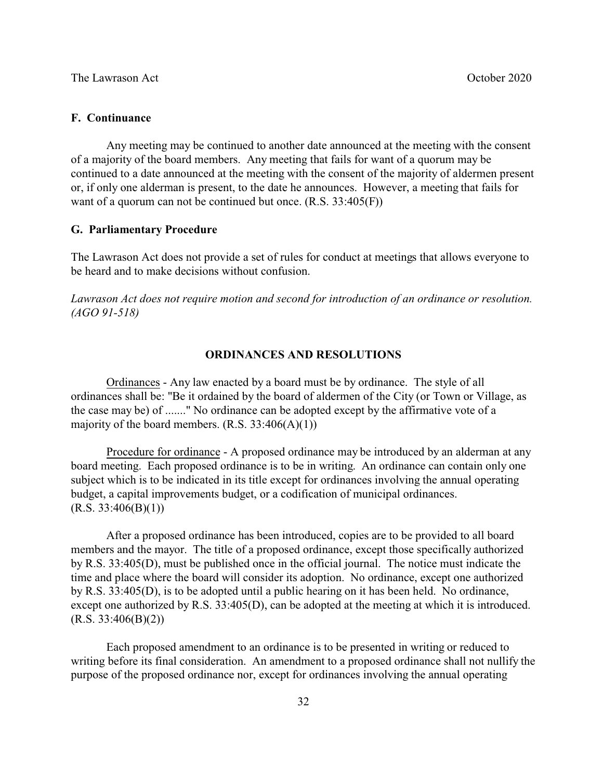## **F. Continuance**

Any meeting may be continued to another date announced at the meeting with the consent of a majority of the board members. Any meeting that fails for want of a quorum may be continued to a date announced at the meeting with the consent of the majority of aldermen present or, if only one alderman is present, to the date he announces. However, a meeting that fails for want of a quorum can not be continued but once. (R.S. 33:405(F))

## **G. Parliamentary Procedure**

The Lawrason Act does not provide a set of rules for conduct at meetings that allows everyone to be heard and to make decisions without confusion.

*Lawrason Act does not require motion and second for introduction of an ordinance or resolution. (AGO 91-518)*

## **ORDINANCES AND RESOLUTIONS**

Ordinances - Any law enacted by a board must be by ordinance. The style of all ordinances shall be: "Be it ordained by the board of aldermen of the City (or Town or Village, as the case may be) of ......." No ordinance can be adopted except by the affirmative vote of a majority of the board members.  $(R.S. 33:406(A)(1))$ 

Procedure for ordinance - A proposed ordinance may be introduced by an alderman at any board meeting. Each proposed ordinance is to be in writing. An ordinance can contain only one subject which is to be indicated in its title except for ordinances involving the annual operating budget, a capital improvements budget, or a codification of municipal ordinances.  $(R.S. 33:406(B)(1))$ 

After a proposed ordinance has been introduced, copies are to be provided to all board members and the mayor. The title of a proposed ordinance, except those specifically authorized by R.S. 33:405(D), must be published once in the official journal. The notice must indicate the time and place where the board will consider its adoption. No ordinance, except one authorized by R.S. 33:405(D), is to be adopted until a public hearing on it has been held. No ordinance, except one authorized by R.S. 33:405(D), can be adopted at the meeting at which it is introduced.  $(R.S. 33:406(B)(2))$ 

Each proposed amendment to an ordinance is to be presented in writing or reduced to writing before its final consideration. An amendment to a proposed ordinance shall not nullify the purpose of the proposed ordinance nor, except for ordinances involving the annual operating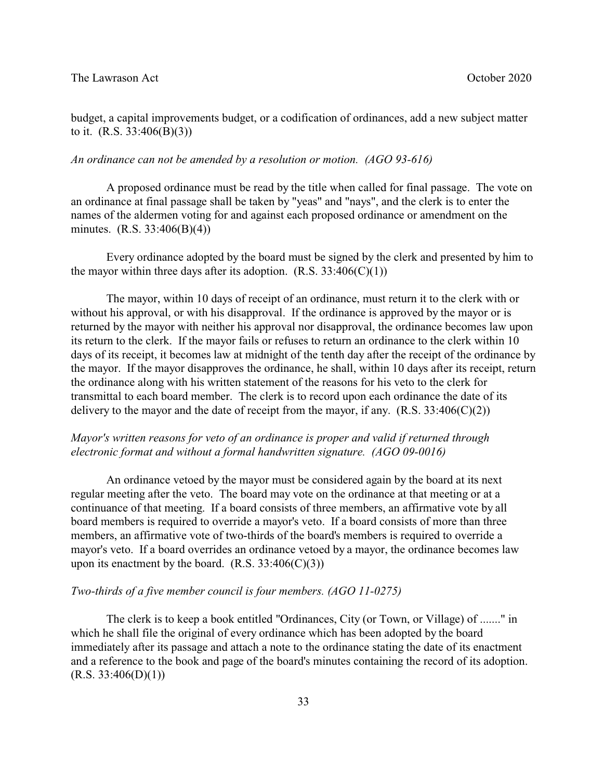budget, a capital improvements budget, or a codification of ordinances, add a new subject matter to it.  $(R.S. 33:406(B)(3))$ 

## *An ordinance can not be amended by a resolution or motion. (AGO 93-616)*

A proposed ordinance must be read by the title when called for final passage. The vote on an ordinance at final passage shall be taken by "yeas" and "nays", and the clerk is to enter the names of the aldermen voting for and against each proposed ordinance or amendment on the minutes. (R.S. 33:406(B)(4))

Every ordinance adopted by the board must be signed by the clerk and presented by him to the mayor within three days after its adoption.  $(R.S. 33:406(C)(1))$ 

The mayor, within 10 days of receipt of an ordinance, must return it to the clerk with or without his approval, or with his disapproval. If the ordinance is approved by the mayor or is returned by the mayor with neither his approval nor disapproval, the ordinance becomes law upon its return to the clerk. If the mayor fails or refuses to return an ordinance to the clerk within 10 days of its receipt, it becomes law at midnight of the tenth day after the receipt of the ordinance by the mayor. If the mayor disapproves the ordinance, he shall, within 10 days after its receipt, return the ordinance along with his written statement of the reasons for his veto to the clerk for transmittal to each board member. The clerk is to record upon each ordinance the date of its delivery to the mayor and the date of receipt from the mayor, if any.  $(R.S. 33:406(C)(2))$ 

# *Mayor's written reasons for veto of an ordinance is proper and valid if returned through electronic format and without a formal handwritten signature. (AGO 09-0016)*

An ordinance vetoed by the mayor must be considered again by the board at its next regular meeting after the veto. The board may vote on the ordinance at that meeting or at a continuance of that meeting. If a board consists of three members, an affirmative vote by all board members is required to override a mayor's veto. If a board consists of more than three members, an affirmative vote of two-thirds of the board's members is required to override a mayor's veto. If a board overrides an ordinance vetoed by a mayor, the ordinance becomes law upon its enactment by the board.  $(R.S. 33:406(C)(3))$ 

# *Two-thirds of a five member council is four members. (AGO 11-0275)*

The clerk is to keep a book entitled "Ordinances, City (or Town, or Village) of ......." in which he shall file the original of every ordinance which has been adopted by the board immediately after its passage and attach a note to the ordinance stating the date of its enactment and a reference to the book and page of the board's minutes containing the record of its adoption.  $(R.S. 33:406(D)(1))$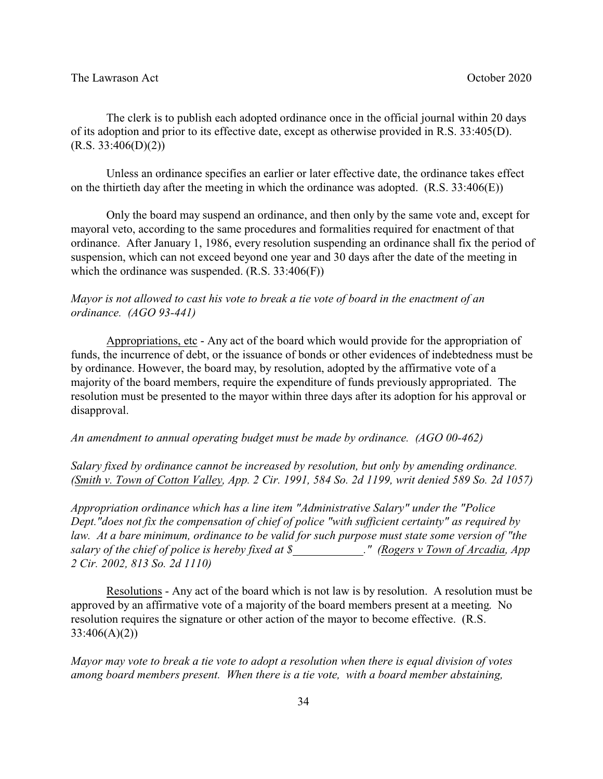The clerk is to publish each adopted ordinance once in the official journal within 20 days of its adoption and prior to its effective date, except as otherwise provided in R.S. 33:405(D).  $(R.S. 33:406(D)(2))$ 

Unless an ordinance specifies an earlier or later effective date, the ordinance takes effect on the thirtieth day after the meeting in which the ordinance was adopted. (R.S. 33:406(E))

Only the board may suspend an ordinance, and then only by the same vote and, except for mayoral veto, according to the same procedures and formalities required for enactment of that ordinance. After January 1, 1986, every resolution suspending an ordinance shall fix the period of suspension, which can not exceed beyond one year and 30 days after the date of the meeting in which the ordinance was suspended. (R.S. 33:406(F))

# *Mayor is not allowed to cast his vote to break a tie vote of board in the enactment of an ordinance. (AGO 93-441)*

Appropriations, etc - Any act of the board which would provide for the appropriation of funds, the incurrence of debt, or the issuance of bonds or other evidences of indebtedness must be by ordinance. However, the board may, by resolution, adopted by the affirmative vote of a majority of the board members, require the expenditure of funds previously appropriated. The resolution must be presented to the mayor within three days after its adoption for his approval or disapproval.

*An amendment to annual operating budget must be made by ordinance. (AGO 00-462)*

*Salary fixed by ordinance cannot be increased by resolution, but only by amending ordinance. (Smith v. Town of Cotton Valley, App. 2 Cir. 1991, 584 So. 2d 1199, writ denied 589 So. 2d 1057)*

*Appropriation ordinance which has a line item "Administrative Salary" under the "Police Dept."does not fix the compensation of chief of police "with sufficient certainty" as required by law. At a bare minimum, ordinance to be valid for such purpose must state some version of "the salary of the chief of police is hereby fixed at \$ ." (Rogers v Town of Arcadia, App 2 Cir. 2002, 813 So. 2d 1110)* 

Resolutions - Any act of the board which is not law is by resolution. A resolution must be approved by an affirmative vote of a majority of the board members present at a meeting. No resolution requires the signature or other action of the mayor to become effective. (R.S. 33:406(A)(2))

*Mayor may vote to break a tie vote to adopt a resolution when there is equal division of votes among board members present. When there is a tie vote, with a board member abstaining,*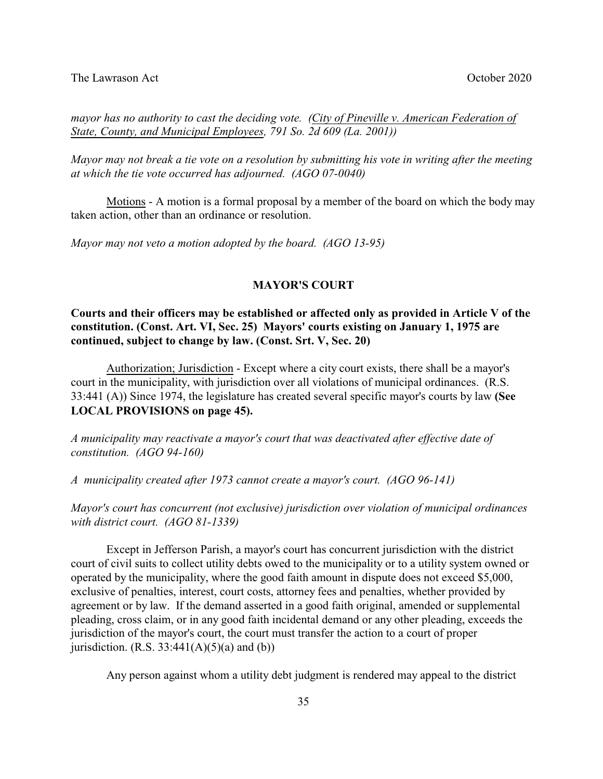*mayor has no authority to cast the deciding vote. (City of Pineville v. American Federation of State, County, and Municipal Employees, 791 So. 2d 609 (La. 2001))*

*Mayor may not break a tie vote on a resolution by submitting his vote in writing after the meeting at which the tie vote occurred has adjourned. (AGO 07-0040)*

Motions - A motion is a formal proposal by a member of the board on which the body may taken action, other than an ordinance or resolution.

*Mayor may not veto a motion adopted by the board. (AGO 13-95)*

#### **MAYOR'S COURT**

**Courts and their officers may be established or affected only as provided in Article V of the constitution. (Const. Art. VI, Sec. 25) Mayors' courts existing on January 1, 1975 are continued, subject to change by law. (Const. Srt. V, Sec. 20)**

Authorization; Jurisdiction - Except where a city court exists, there shall be a mayor's court in the municipality, with jurisdiction over all violations of municipal ordinances. (R.S. 33:441 (A)) Since 1974, the legislature has created several specific mayor's courts by law **(See LOCAL PROVISIONS on page 45).** 

*A municipality may reactivate a mayor's court that was deactivated after effective date of constitution. (AGO 94-160)*

*A municipality created after 1973 cannot create a mayor's court. (AGO 96-141)* 

*Mayor's court has concurrent (not exclusive) jurisdiction over violation of municipal ordinances with district court. (AGO 81-1339)* 

Except in Jefferson Parish, a mayor's court has concurrent jurisdiction with the district court of civil suits to collect utility debts owed to the municipality or to a utility system owned or operated by the municipality, where the good faith amount in dispute does not exceed \$5,000, exclusive of penalties, interest, court costs, attorney fees and penalties, whether provided by agreement or by law. If the demand asserted in a good faith original, amended or supplemental pleading, cross claim, or in any good faith incidental demand or any other pleading, exceeds the jurisdiction of the mayor's court, the court must transfer the action to a court of proper jurisdiction.  $(R.S. 33:441(A)(5)(a)$  and  $(b))$ 

Any person against whom a utility debt judgment is rendered may appeal to the district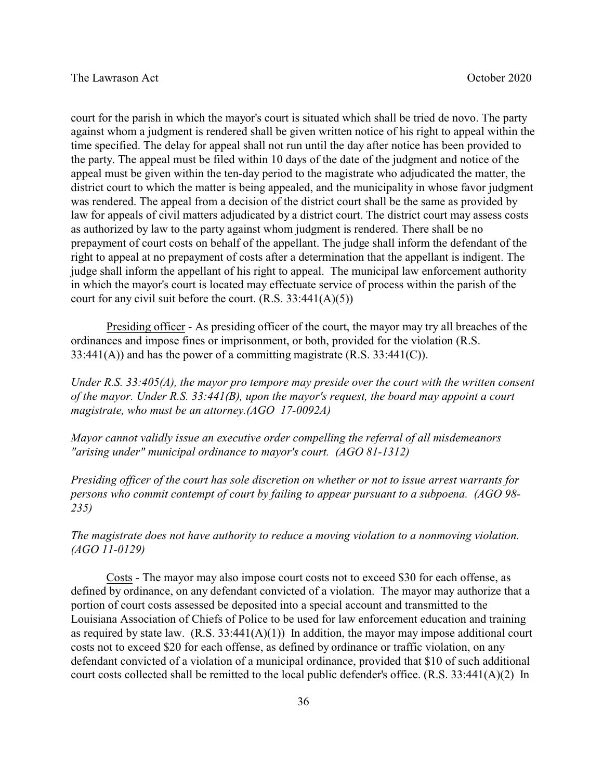court for the parish in which the mayor's court is situated which shall be tried de novo. The party against whom a judgment is rendered shall be given written notice of his right to appeal within the time specified. The delay for appeal shall not run until the day after notice has been provided to the party. The appeal must be filed within 10 days of the date of the judgment and notice of the appeal must be given within the ten-day period to the magistrate who adjudicated the matter, the district court to which the matter is being appealed, and the municipality in whose favor judgment was rendered. The appeal from a decision of the district court shall be the same as provided by law for appeals of civil matters adjudicated by a district court. The district court may assess costs as authorized by law to the party against whom judgment is rendered. There shall be no prepayment of court costs on behalf of the appellant. The judge shall inform the defendant of the right to appeal at no prepayment of costs after a determination that the appellant is indigent. The judge shall inform the appellant of his right to appeal. The municipal law enforcement authority in which the mayor's court is located may effectuate service of process within the parish of the court for any civil suit before the court.  $(R.S. 33:441(A)(5))$ 

Presiding officer - As presiding officer of the court, the mayor may try all breaches of the ordinances and impose fines or imprisonment, or both, provided for the violation (R.S. 33:441(A)) and has the power of a committing magistrate (R.S. 33:441(C)).

*Under R.S. 33:405(A), the mayor pro tempore may preside over the court with the written consent of the mayor. Under R.S. 33:441(B), upon the mayor's request, the board may appoint a court magistrate, who must be an attorney.(AGO 17-0092A)*

*Mayor cannot validly issue an executive order compelling the referral of all misdemeanors "arising under" municipal ordinance to mayor's court. (AGO 81-1312)* 

*Presiding officer of the court has sole discretion on whether or not to issue arrest warrants for persons who commit contempt of court by failing to appear pursuant to a subpoena. (AGO 98- 235)*

*The magistrate does not have authority to reduce a moving violation to a nonmoving violation. (AGO 11-0129)*

Costs - The mayor may also impose court costs not to exceed \$30 for each offense, as defined by ordinance, on any defendant convicted of a violation. The mayor may authorize that a portion of court costs assessed be deposited into a special account and transmitted to the Louisiana Association of Chiefs of Police to be used for law enforcement education and training as required by state law.  $(R.S. 33:441(A)(1))$  In addition, the mayor may impose additional court costs not to exceed \$20 for each offense, as defined by ordinance or traffic violation, on any defendant convicted of a violation of a municipal ordinance, provided that \$10 of such additional court costs collected shall be remitted to the local public defender's office. (R.S. 33:441(A)(2) In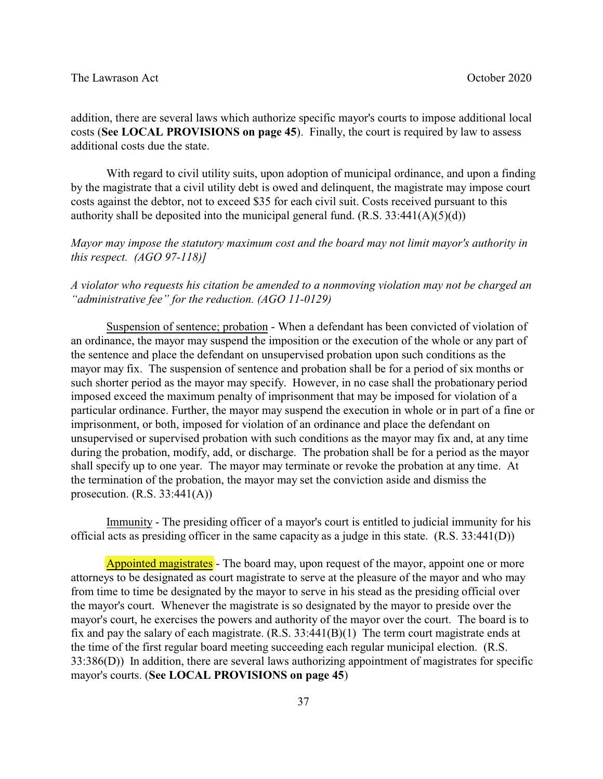addition, there are several laws which authorize specific mayor's courts to impose additional local costs (**See LOCAL PROVISIONS on page 45**). Finally, the court is required by law to assess additional costs due the state.

With regard to civil utility suits, upon adoption of municipal ordinance, and upon a finding by the magistrate that a civil utility debt is owed and delinquent, the magistrate may impose court costs against the debtor, not to exceed \$35 for each civil suit. Costs received pursuant to this authority shall be deposited into the municipal general fund.  $(R.S. 33:441(A)(5)(d))$ 

# *Mayor may impose the statutory maximum cost and the board may not limit mayor's authority in this respect. (AGO 97-118)]*

# *A violator who requests his citation be amended to a nonmoving violation may not be charged an "administrative fee" for the reduction. (AGO 11-0129)*

Suspension of sentence; probation - When a defendant has been convicted of violation of an ordinance, the mayor may suspend the imposition or the execution of the whole or any part of the sentence and place the defendant on unsupervised probation upon such conditions as the mayor may fix. The suspension of sentence and probation shall be for a period of six months or such shorter period as the mayor may specify. However, in no case shall the probationary period imposed exceed the maximum penalty of imprisonment that may be imposed for violation of a particular ordinance. Further, the mayor may suspend the execution in whole or in part of a fine or imprisonment, or both, imposed for violation of an ordinance and place the defendant on unsupervised or supervised probation with such conditions as the mayor may fix and, at any time during the probation, modify, add, or discharge. The probation shall be for a period as the mayor shall specify up to one year. The mayor may terminate or revoke the probation at any time. At the termination of the probation, the mayor may set the conviction aside and dismiss the prosecution.  $(R.S. 33:441(A))$ 

Immunity - The presiding officer of a mayor's court is entitled to judicial immunity for his official acts as presiding officer in the same capacity as a judge in this state. (R.S. 33:441(D))

Appointed magistrates - The board may, upon request of the mayor, appoint one or more attorneys to be designated as court magistrate to serve at the pleasure of the mayor and who may from time to time be designated by the mayor to serve in his stead as the presiding official over the mayor's court. Whenever the magistrate is so designated by the mayor to preside over the mayor's court, he exercises the powers and authority of the mayor over the court. The board is to fix and pay the salary of each magistrate. (R.S. 33:441(B)(1) The term court magistrate ends at the time of the first regular board meeting succeeding each regular municipal election. (R.S. 33:386(D)) In addition, there are several laws authorizing appointment of magistrates for specific mayor's courts. (**See LOCAL PROVISIONS on page 45**)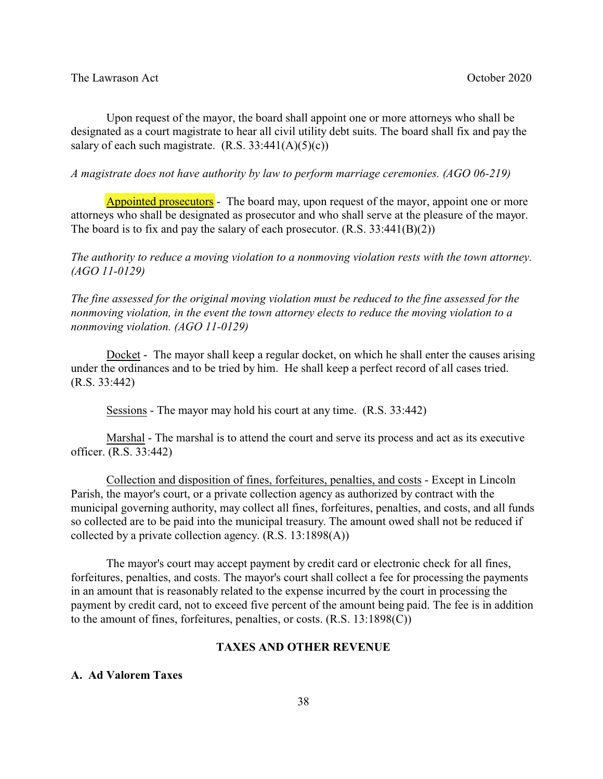Upon request of the mayor, the board shall appoint one or more attorneys who shall be designated as a court magistrate to hear all civil utility debt suits. The board shall fix and pay the salary of each such magistrate.  $(R.S. 33:441(A)(5)(c))$ 

*A magistrate does not have authority by law to perform marriage ceremonies. (AGO 06-219)*

Appointed prosecutors - The board may, upon request of the mayor, appoint one or more attorneys who shall be designated as prosecutor and who shall serve at the pleasure of the mayor. The board is to fix and pay the salary of each prosecutor. (R.S. 33:441(B)(2))

*The authority to reduce a moving violation to a nonmoving violation rests with the town attorney. (AGO 11-0129)*

*The fine assessed for the original moving violation must be reduced to the fine assessed for the nonmoving violation, in the event the town attorney elects to reduce the moving violation to a nonmoving violation. (AGO 11-0129)*

Docket - The mayor shall keep a regular docket, on which he shall enter the causes arising under the ordinances and to be tried by him. He shall keep a perfect record of all cases tried. (R.S. 33:442)

Sessions - The mayor may hold his court at any time. (R.S. 33:442)

Marshal - The marshal is to attend the court and serve its process and act as its executive officer. (R.S. 33:442)

Collection and disposition of fines, forfeitures, penalties, and costs - Except in Lincoln Parish, the mayor's court, or a private collection agency as authorized by contract with the municipal governing authority, may collect all fines, forfeitures, penalties, and costs, and all funds so collected are to be paid into the municipal treasury. The amount owed shall not be reduced if collected by a private collection agency. (R.S. 13:1898(A))

The mayor's court may accept payment by credit card or electronic check for all fines, forfeitures, penalties, and costs. The mayor's court shall collect a fee for processing the payments in an amount that is reasonably related to the expense incurred by the court in processing the payment by credit card, not to exceed five percent of the amount being paid. The fee is in addition to the amount of fines, forfeitures, penalties, or costs. (R.S. 13:1898(C))

#### **TAXES AND OTHER REVENUE**

## **A. Ad Valorem Taxes**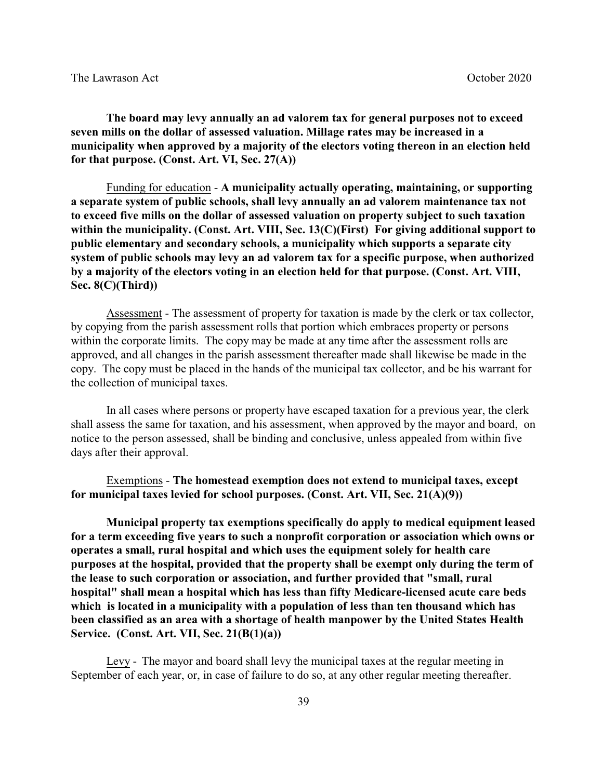**The board may levy annually an ad valorem tax for general purposes not to exceed seven mills on the dollar of assessed valuation. Millage rates may be increased in a municipality when approved by a majority of the electors voting thereon in an election held for that purpose. (Const. Art. VI, Sec. 27(A))**

Funding for education - **A municipality actually operating, maintaining, or supporting a separate system of public schools, shall levy annually an ad valorem maintenance tax not to exceed five mills on the dollar of assessed valuation on property subject to such taxation within the municipality. (Const. Art. VIII, Sec. 13(C)(First) For giving additional support to public elementary and secondary schools, a municipality which supports a separate city system of public schools may levy an ad valorem tax for a specific purpose, when authorized by a majority of the electors voting in an election held for that purpose. (Const. Art. VIII, Sec. 8(C)(Third))**

Assessment - The assessment of property for taxation is made by the clerk or tax collector, by copying from the parish assessment rolls that portion which embraces property or persons within the corporate limits. The copy may be made at any time after the assessment rolls are approved, and all changes in the parish assessment thereafter made shall likewise be made in the copy. The copy must be placed in the hands of the municipal tax collector, and be his warrant for the collection of municipal taxes.

In all cases where persons or property have escaped taxation for a previous year, the clerk shall assess the same for taxation, and his assessment, when approved by the mayor and board, on notice to the person assessed, shall be binding and conclusive, unless appealed from within five days after their approval.

Exemptions - **The homestead exemption does not extend to municipal taxes, except for municipal taxes levied for school purposes. (Const. Art. VII, Sec. 21(A)(9))**

**Municipal property tax exemptions specifically do apply to medical equipment leased for a term exceeding five years to such a nonprofit corporation or association which owns or operates a small, rural hospital and which uses the equipment solely for health care purposes at the hospital, provided that the property shall be exempt only during the term of the lease to such corporation or association, and further provided that "small, rural hospital" shall mean a hospital which has less than fifty Medicare-licensed acute care beds which is located in a municipality with a population of less than ten thousand which has been classified as an area with a shortage of health manpower by the United States Health Service. (Const. Art. VII, Sec. 21(B(1)(a))**

Levy - The mayor and board shall levy the municipal taxes at the regular meeting in September of each year, or, in case of failure to do so, at any other regular meeting thereafter.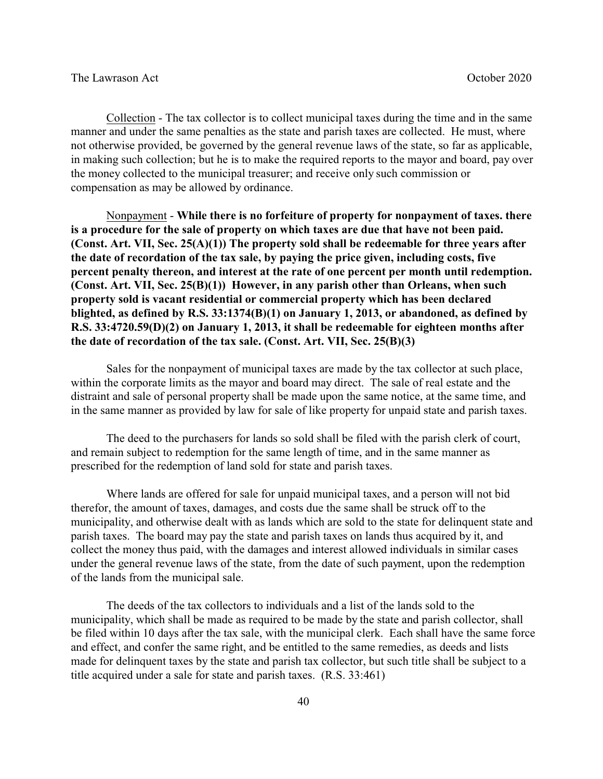Collection - The tax collector is to collect municipal taxes during the time and in the same manner and under the same penalties as the state and parish taxes are collected. He must, where not otherwise provided, be governed by the general revenue laws of the state, so far as applicable, in making such collection; but he is to make the required reports to the mayor and board, pay over the money collected to the municipal treasurer; and receive only such commission or compensation as may be allowed by ordinance.

Nonpayment - **While there is no forfeiture of property for nonpayment of taxes. there is a procedure for the sale of property on which taxes are due that have not been paid. (Const. Art. VII, Sec. 25(A)(1)) The property sold shall be redeemable for three years after the date of recordation of the tax sale, by paying the price given, including costs, five percent penalty thereon, and interest at the rate of one percent per month until redemption. (Const. Art. VII, Sec. 25(B)(1)) However, in any parish other than Orleans, when such property sold is vacant residential or commercial property which has been declared blighted, as defined by R.S. 33:1374(B)(1) on January 1, 2013, or abandoned, as defined by R.S. 33:4720.59(D)(2) on January 1, 2013, it shall be redeemable for eighteen months after the date of recordation of the tax sale. (Const. Art. VII, Sec. 25(B)(3)**

Sales for the nonpayment of municipal taxes are made by the tax collector at such place, within the corporate limits as the mayor and board may direct. The sale of real estate and the distraint and sale of personal property shall be made upon the same notice, at the same time, and in the same manner as provided by law for sale of like property for unpaid state and parish taxes.

The deed to the purchasers for lands so sold shall be filed with the parish clerk of court, and remain subject to redemption for the same length of time, and in the same manner as prescribed for the redemption of land sold for state and parish taxes.

Where lands are offered for sale for unpaid municipal taxes, and a person will not bid therefor, the amount of taxes, damages, and costs due the same shall be struck off to the municipality, and otherwise dealt with as lands which are sold to the state for delinquent state and parish taxes. The board may pay the state and parish taxes on lands thus acquired by it, and collect the money thus paid, with the damages and interest allowed individuals in similar cases under the general revenue laws of the state, from the date of such payment, upon the redemption of the lands from the municipal sale.

The deeds of the tax collectors to individuals and a list of the lands sold to the municipality, which shall be made as required to be made by the state and parish collector, shall be filed within 10 days after the tax sale, with the municipal clerk. Each shall have the same force and effect, and confer the same right, and be entitled to the same remedies, as deeds and lists made for delinquent taxes by the state and parish tax collector, but such title shall be subject to a title acquired under a sale for state and parish taxes. (R.S. 33:461)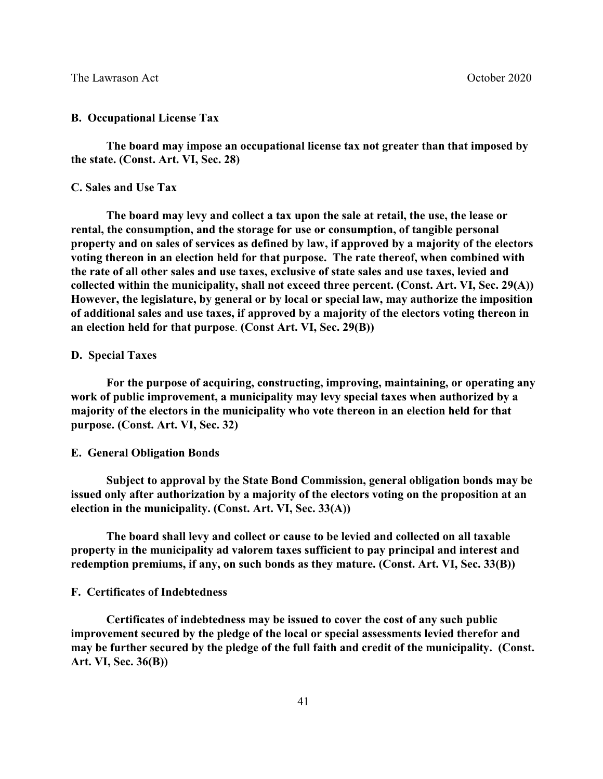#### **B. Occupational License Tax**

**The board may impose an occupational license tax not greater than that imposed by the state. (Const. Art. VI, Sec. 28)**

#### **C. Sales and Use Tax**

**The board may levy and collect a tax upon the sale at retail, the use, the lease or rental, the consumption, and the storage for use or consumption, of tangible personal property and on sales of services as defined by law, if approved by a majority of the electors voting thereon in an election held for that purpose. The rate thereof, when combined with the rate of all other sales and use taxes, exclusive of state sales and use taxes, levied and collected within the municipality, shall not exceed three percent. (Const. Art. VI, Sec. 29(A)) However, the legislature, by general or by local or special law, may authorize the imposition of additional sales and use taxes, if approved by a majority of the electors voting thereon in an election held for that purpose**. **(Const Art. VI, Sec. 29(B))** 

#### **D. Special Taxes**

**For the purpose of acquiring, constructing, improving, maintaining, or operating any work of public improvement, a municipality may levy special taxes when authorized by a majority of the electors in the municipality who vote thereon in an election held for that purpose. (Const. Art. VI, Sec. 32)**

## **E. General Obligation Bonds**

**Subject to approval by the State Bond Commission, general obligation bonds may be issued only after authorization by a majority of the electors voting on the proposition at an election in the municipality. (Const. Art. VI, Sec. 33(A))**

**The board shall levy and collect or cause to be levied and collected on all taxable property in the municipality ad valorem taxes sufficient to pay principal and interest and redemption premiums, if any, on such bonds as they mature. (Const. Art. VI, Sec. 33(B))**

#### **F. Certificates of Indebtedness**

**Certificates of indebtedness may be issued to cover the cost of any such public improvement secured by the pledge of the local or special assessments levied therefor and may be further secured by the pledge of the full faith and credit of the municipality. (Const. Art. VI, Sec. 36(B))**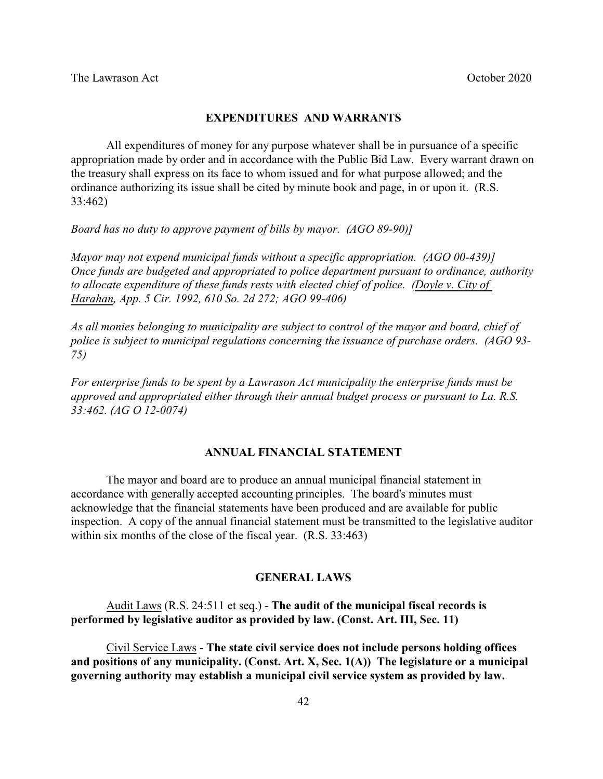#### **EXPENDITURES AND WARRANTS**

All expenditures of money for any purpose whatever shall be in pursuance of a specific appropriation made by order and in accordance with the Public Bid Law. Every warrant drawn on the treasury shall express on its face to whom issued and for what purpose allowed; and the ordinance authorizing its issue shall be cited by minute book and page, in or upon it. (R.S. 33:462)

*Board has no duty to approve payment of bills by mayor. (AGO 89-90)]*

*Mayor may not expend municipal funds without a specific appropriation. (AGO 00-439)] Once funds are budgeted and appropriated to police department pursuant to ordinance, authority to allocate expenditure of these funds rests with elected chief of police. (Doyle v. City of Harahan, App. 5 Cir. 1992, 610 So. 2d 272; AGO 99-406)* 

*As all monies belonging to municipality are subject to control of the mayor and board, chief of police is subject to municipal regulations concerning the issuance of purchase orders. (AGO 93- 75)* 

*For enterprise funds to be spent by a Lawrason Act municipality the enterprise funds must be approved and appropriated either through their annual budget process or pursuant to La. R.S. 33:462. (AG O 12-0074)*

#### **ANNUAL FINANCIAL STATEMENT**

The mayor and board are to produce an annual municipal financial statement in accordance with generally accepted accounting principles. The board's minutes must acknowledge that the financial statements have been produced and are available for public inspection. A copy of the annual financial statement must be transmitted to the legislative auditor within six months of the close of the fiscal year. (R.S. 33:463)

#### **GENERAL LAWS**

Audit Laws (R.S. 24:511 et seq.) - **The audit of the municipal fiscal records is performed by legislative auditor as provided by law. (Const. Art. III, Sec. 11)**

Civil Service Laws - **The state civil service does not include persons holding offices and positions of any municipality. (Const. Art. X, Sec. 1(A)) The legislature or a municipal governing authority may establish a municipal civil service system as provided by law.**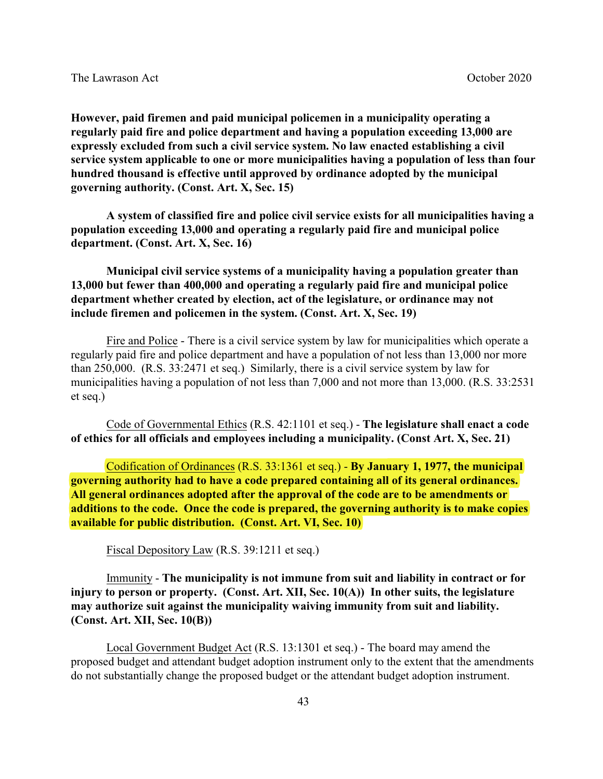**However, paid firemen and paid municipal policemen in a municipality operating a regularly paid fire and police department and having a population exceeding 13,000 are expressly excluded from such a civil service system. No law enacted establishing a civil service system applicable to one or more municipalities having a population of less than four hundred thousand is effective until approved by ordinance adopted by the municipal governing authority. (Const. Art. X, Sec. 15)** 

**A system of classified fire and police civil service exists for all municipalities having a population exceeding 13,000 and operating a regularly paid fire and municipal police department. (Const. Art. X, Sec. 16)** 

**Municipal civil service systems of a municipality having a population greater than 13,000 but fewer than 400,000 and operating a regularly paid fire and municipal police department whether created by election, act of the legislature, or ordinance may not include firemen and policemen in the system. (Const. Art. X, Sec. 19)** 

Fire and Police - There is a civil service system by law for municipalities which operate a regularly paid fire and police department and have a population of not less than 13,000 nor more than 250,000. (R.S. 33:2471 et seq.) Similarly, there is a civil service system by law for municipalities having a population of not less than 7,000 and not more than 13,000. (R.S. 33:2531 et seq.)

Code of Governmental Ethics (R.S. 42:1101 et seq.) - **The legislature shall enact a code of ethics for all officials and employees including a municipality. (Const Art. X, Sec. 21)** 

Codification of Ordinances (R.S. 33:1361 et seq.) - **By January 1, 1977, the municipal governing authority had to have a code prepared containing all of its general ordinances. All general ordinances adopted after the approval of the code are to be amendments or additions to the code. Once the code is prepared, the governing authority is to make copies available for public distribution. (Const. Art. VI, Sec. 10)**

Fiscal Depository Law (R.S. 39:1211 et seq.)

Immunity - **The municipality is not immune from suit and liability in contract or for injury to person or property. (Const. Art. XII, Sec. 10(A)) In other suits, the legislature may authorize suit against the municipality waiving immunity from suit and liability. (Const. Art. XII, Sec. 10(B))**

Local Government Budget Act (R.S. 13:1301 et seq.) - The board may amend the proposed budget and attendant budget adoption instrument only to the extent that the amendments do not substantially change the proposed budget or the attendant budget adoption instrument.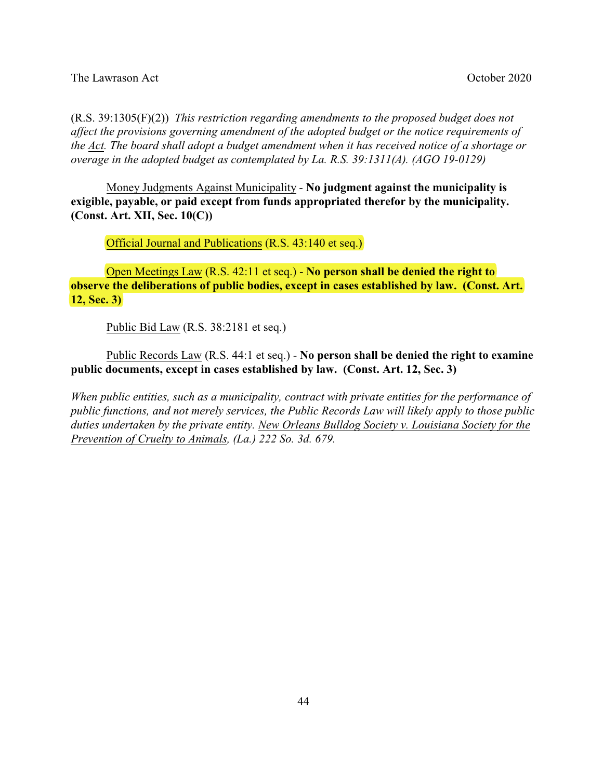(R.S. 39:1305(F)(2)) *This restriction regarding amendments to the proposed budget does not affect the provisions governing amendment of the adopted budget or the notice requirements of the Act. The board shall adopt a budget amendment when it has received notice of a shortage or overage in the adopted budget as contemplated by La. R.S. 39:1311(A). (AGO 19-0129)*

Money Judgments Against Municipality - **No judgment against the municipality is exigible, payable, or paid except from funds appropriated therefor by the municipality. (Const. Art. XII, Sec. 10(C))**

Official Journal and Publications (R.S. 43:140 et seq.)

Open Meetings Law (R.S. 42:11 et seq.) - **No person shall be denied the right to observe the deliberations of public bodies, except in cases established by law. (Const. Art. 12, Sec. 3)**

Public Bid Law (R.S. 38:2181 et seq.)

Public Records Law (R.S. 44:1 et seq.) - **No person shall be denied the right to examine public documents, except in cases established by law. (Const. Art. 12, Sec. 3)**

*When public entities, such as a municipality, contract with private entities for the performance of public functions, and not merely services, the Public Records Law will likely apply to those public duties undertaken by the private entity. New Orleans Bulldog Society v. Louisiana Society for the Prevention of Cruelty to Animals, (La.) 222 So. 3d. 679.*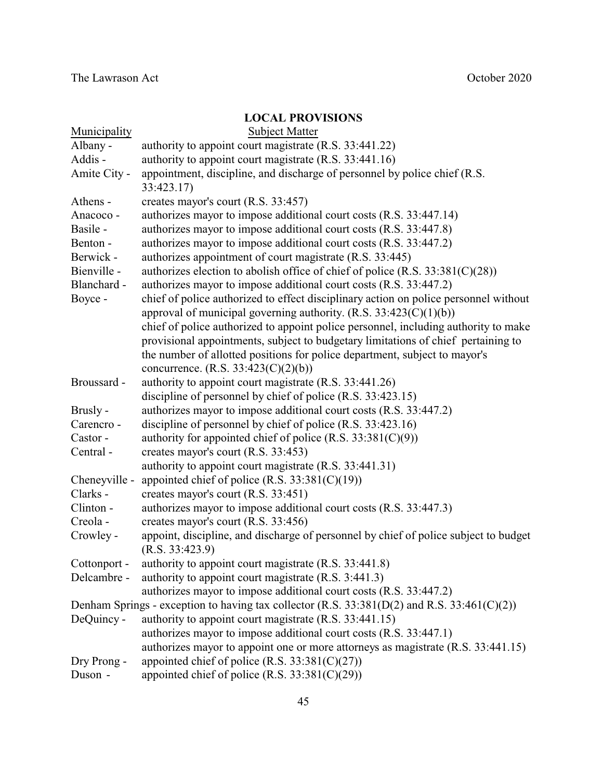# **LOCAL PROVISIONS**

| Municipality           | <b>Subject Matter</b>                                                                                                      |
|------------------------|----------------------------------------------------------------------------------------------------------------------------|
| Albany -               | authority to appoint court magistrate (R.S. 33:441.22)                                                                     |
| Addis -                | authority to appoint court magistrate (R.S. 33:441.16)                                                                     |
| Amite City -           | appointment, discipline, and discharge of personnel by police chief (R.S.<br>33:423.17)                                    |
| Athens -               | creates mayor's court (R.S. 33:457)                                                                                        |
| Anacoco -              | authorizes mayor to impose additional court costs (R.S. 33:447.14)                                                         |
| Basile -               | authorizes mayor to impose additional court costs (R.S. 33:447.8)                                                          |
| Benton -               | authorizes mayor to impose additional court costs (R.S. 33:447.2)                                                          |
| Berwick -              | authorizes appointment of court magistrate (R.S. 33:445)                                                                   |
| Bienville -            | authorizes election to abolish office of chief of police $(R.S. 33:381(C)(28))$                                            |
| Blanchard -            | authorizes mayor to impose additional court costs (R.S. 33:447.2)                                                          |
| Boyce -                | chief of police authorized to effect disciplinary action on police personnel without                                       |
|                        | approval of municipal governing authority. $(R.S. 33:423(C)(1)(b))$                                                        |
|                        | chief of police authorized to appoint police personnel, including authority to make                                        |
|                        | provisional appointments, subject to budgetary limitations of chief pertaining to                                          |
|                        | the number of allotted positions for police department, subject to mayor's                                                 |
|                        | concurrence. $(R.S. 33:423(C)(2)(b))$                                                                                      |
| Broussard -            | authority to appoint court magistrate (R.S. 33:441.26)                                                                     |
|                        | discipline of personnel by chief of police (R.S. 33:423.15)                                                                |
| Brusly -               | authorizes mayor to impose additional court costs (R.S. 33:447.2)                                                          |
| Carencro -<br>Castor - | discipline of personnel by chief of police (R.S. 33:423.16)<br>authority for appointed chief of police (R.S. 33:381(C)(9)) |
| Central -              | creates mayor's court (R.S. 33:453)                                                                                        |
|                        | authority to appoint court magistrate (R.S. 33:441.31)                                                                     |
| Cheneyville -          | appointed chief of police (R.S. $33:381(C)(19)$ )                                                                          |
| Clarks -               | creates mayor's court (R.S. 33:451)                                                                                        |
| Clinton -              | authorizes mayor to impose additional court costs (R.S. 33:447.3)                                                          |
| Creola-                | creates mayor's court (R.S. 33:456)                                                                                        |
| Crowley -              | appoint, discipline, and discharge of personnel by chief of police subject to budget                                       |
|                        | (R.S. 33:423.9)                                                                                                            |
| Cottonport -           | authority to appoint court magistrate (R.S. 33:441.8)                                                                      |
| Delcambre -            | authority to appoint court magistrate (R.S. 3:441.3)                                                                       |
|                        | authorizes mayor to impose additional court costs (R.S. 33:447.2)                                                          |
|                        | Denham Springs - exception to having tax collector (R.S. $33:381(D(2)$ and R.S. $33:461(C)(2))$                            |
| DeQuincy -             | authority to appoint court magistrate (R.S. 33:441.15)                                                                     |
|                        | authorizes mayor to impose additional court costs (R.S. 33:447.1)                                                          |
|                        | authorizes mayor to appoint one or more attorneys as magistrate (R.S. 33:441.15)                                           |
| Dry Prong -            | appointed chief of police (R.S. $33:381(C)(27)$ )                                                                          |
| Duson -                | appointed chief of police (R.S. $33:381(C)(29)$ )                                                                          |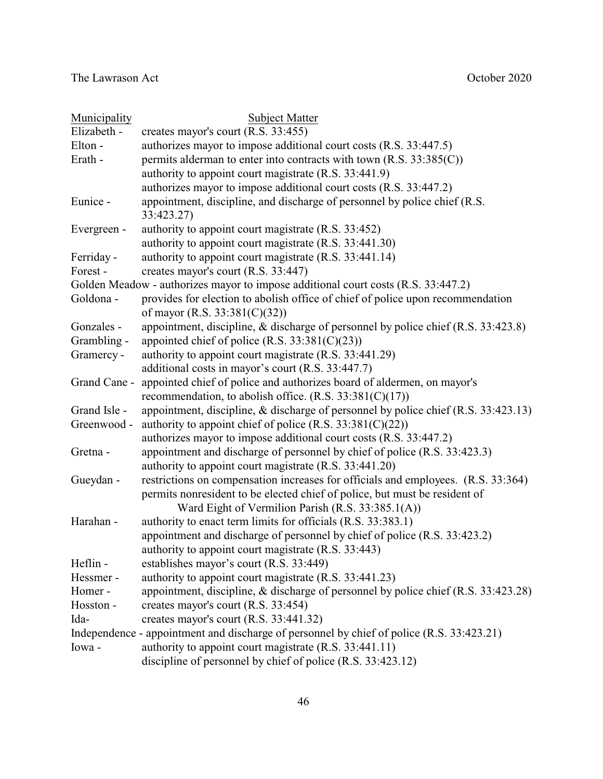| Municipality | Subject Matter                                                                                                  |
|--------------|-----------------------------------------------------------------------------------------------------------------|
| Elizabeth -  | creates mayor's court (R.S. 33:455)                                                                             |
| Elton -      | authorizes mayor to impose additional court costs (R.S. 33:447.5)                                               |
| Erath -      | permits alderman to enter into contracts with town $(R.S. 33:385(C))$                                           |
|              | authority to appoint court magistrate (R.S. 33:441.9)                                                           |
|              | authorizes mayor to impose additional court costs (R.S. 33:447.2)                                               |
| Eunice -     | appointment, discipline, and discharge of personnel by police chief (R.S.<br>33:423.27)                         |
| Evergreen -  | authority to appoint court magistrate (R.S. 33:452)                                                             |
|              | authority to appoint court magistrate (R.S. 33:441.30)                                                          |
| Ferriday -   | authority to appoint court magistrate (R.S. 33:441.14)                                                          |
| Forest-      | creates mayor's court (R.S. 33:447)                                                                             |
|              | Golden Meadow - authorizes mayor to impose additional court costs (R.S. 33:447.2)                               |
| Goldona -    | provides for election to abolish office of chief of police upon recommendation<br>of mayor (R.S. 33:381(C)(32)) |
| Gonzales -   | appointment, discipline, & discharge of personnel by police chief (R.S. 33:423.8)                               |
| Grambling -  | appointed chief of police (R.S. $33:381(C)(23)$ )                                                               |
| Gramercy -   | authority to appoint court magistrate (R.S. 33:441.29)                                                          |
|              | additional costs in mayor's court (R.S. 33:447.7)                                                               |
| Grand Cane - | appointed chief of police and authorizes board of aldermen, on mayor's                                          |
|              | recommendation, to abolish office. $(R.S. 33:381(C)(17))$                                                       |
| Grand Isle - | appointment, discipline, & discharge of personnel by police chief (R.S. 33:423.13)                              |
| Greenwood -  | authority to appoint chief of police (R.S. $33:381(C)(22)$ )                                                    |
|              | authorizes mayor to impose additional court costs (R.S. 33:447.2)                                               |
| Gretna -     | appointment and discharge of personnel by chief of police (R.S. 33:423.3)                                       |
|              | authority to appoint court magistrate (R.S. 33:441.20)                                                          |
| Gueydan -    | restrictions on compensation increases for officials and employees. (R.S. 33:364)                               |
|              | permits nonresident to be elected chief of police, but must be resident of                                      |
|              | Ward Eight of Vermilion Parish (R.S. 33:385.1(A))                                                               |
| Harahan -    | authority to enact term limits for officials (R.S. 33:383.1)                                                    |
|              | appointment and discharge of personnel by chief of police (R.S. 33:423.2)                                       |
|              | authority to appoint court magistrate (R.S. 33:443)                                                             |
| Heflin -     | establishes mayor's court (R.S. 33:449)                                                                         |
| Hessmer-     | authority to appoint court magistrate (R.S. 33:441.23)                                                          |
| Homer-       | appointment, discipline, & discharge of personnel by police chief (R.S. 33:423.28)                              |
| Hosston -    | creates mayor's court (R.S. 33:454)                                                                             |
| Ida-         | creates mayor's court (R.S. 33:441.32)                                                                          |
|              | Independence - appointment and discharge of personnel by chief of police (R.S. 33:423.21)                       |
| Iowa-        | authority to appoint court magistrate (R.S. 33:441.11)                                                          |
|              | discipline of personnel by chief of police (R.S. 33:423.12)                                                     |
|              |                                                                                                                 |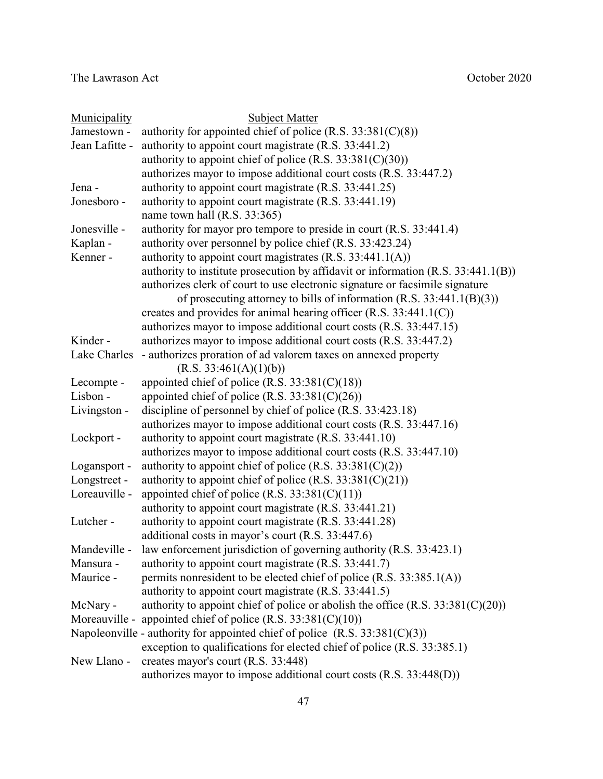| Municipality                 | <b>Subject Matter</b>                                                                                                        |
|------------------------------|------------------------------------------------------------------------------------------------------------------------------|
| Jamestown -                  | authority for appointed chief of police $(R.S. 33:381(C)(8))$                                                                |
| Jean Lafitte -               | authority to appoint court magistrate (R.S. 33:441.2)                                                                        |
|                              | authority to appoint chief of police (R.S. $33:381(C)(30)$ )                                                                 |
|                              | authorizes mayor to impose additional court costs (R.S. 33:447.2)                                                            |
| Jena-                        | authority to appoint court magistrate (R.S. 33:441.25)                                                                       |
| Jonesboro -                  | authority to appoint court magistrate (R.S. 33:441.19)                                                                       |
|                              | name town hall (R.S. 33:365)                                                                                                 |
| Jonesville -                 | authority for mayor pro tempore to preside in court (R.S. 33:441.4)                                                          |
| Kaplan -                     | authority over personnel by police chief (R.S. 33:423.24)                                                                    |
| Kenner -                     | authority to appoint court magistrates (R.S. 33:441.1(A))                                                                    |
|                              | authority to institute prosecution by affidavit or information (R.S. 33:441.1(B))                                            |
|                              | authorizes clerk of court to use electronic signature or facsimile signature                                                 |
|                              | of prosecuting attorney to bills of information $(R.S. 33:441.1(B)(3))$                                                      |
|                              | creates and provides for animal hearing officer (R.S. 33:441.1(C))                                                           |
|                              | authorizes mayor to impose additional court costs (R.S. 33:447.15)                                                           |
| Kinder-                      | authorizes mayor to impose additional court costs (R.S. 33:447.2)                                                            |
| Lake Charles                 | - authorizes proration of ad valorem taxes on annexed property                                                               |
|                              | (R.S. 33:461(A)(1)(b))                                                                                                       |
| Lecompte -                   | appointed chief of police (R.S. $33:381(C)(18)$ )                                                                            |
| Lisbon -                     | appointed chief of police (R.S. $33:381(C)(26)$ )                                                                            |
| Livingston -                 | discipline of personnel by chief of police (R.S. 33:423.18)                                                                  |
|                              | authorizes mayor to impose additional court costs (R.S. 33:447.16)                                                           |
| Lockport -                   | authority to appoint court magistrate (R.S. 33:441.10)<br>authorizes mayor to impose additional court costs (R.S. 33:447.10) |
|                              | authority to appoint chief of police (R.S. $33:381(C)(2)$ )                                                                  |
| Logansport -<br>Longstreet - | authority to appoint chief of police (R.S. $33:381(C)(21)$ )                                                                 |
| Loreauville -                | appointed chief of police (R.S. $33:381(C)(11)$ )                                                                            |
|                              | authority to appoint court magistrate (R.S. 33:441.21)                                                                       |
| Lutcher-                     | authority to appoint court magistrate (R.S. 33:441.28)                                                                       |
|                              | additional costs in mayor's court (R.S. 33:447.6)                                                                            |
| Mandeville -                 | law enforcement jurisdiction of governing authority (R.S. 33:423.1)                                                          |
| Mansura -                    | authority to appoint court magistrate (R.S. 33:441.7)                                                                        |
| Maurice -                    | permits nonresident to be elected chief of police (R.S. 33:385.1(A))                                                         |
|                              | authority to appoint court magistrate (R.S. 33:441.5)                                                                        |
| McNary -                     | authority to appoint chief of police or abolish the office (R.S. 33:381(C)(20))                                              |
|                              | Moreauville - appointed chief of police $(R.S. 33:381(C)(10))$                                                               |
|                              | Napoleonville - authority for appointed chief of police $(R.S. 33:381(C)(3))$                                                |
|                              | exception to qualifications for elected chief of police (R.S. 33:385.1)                                                      |
| New Llano -                  | creates mayor's court (R.S. 33:448)                                                                                          |
|                              | authorizes mayor to impose additional court costs (R.S. 33:448(D))                                                           |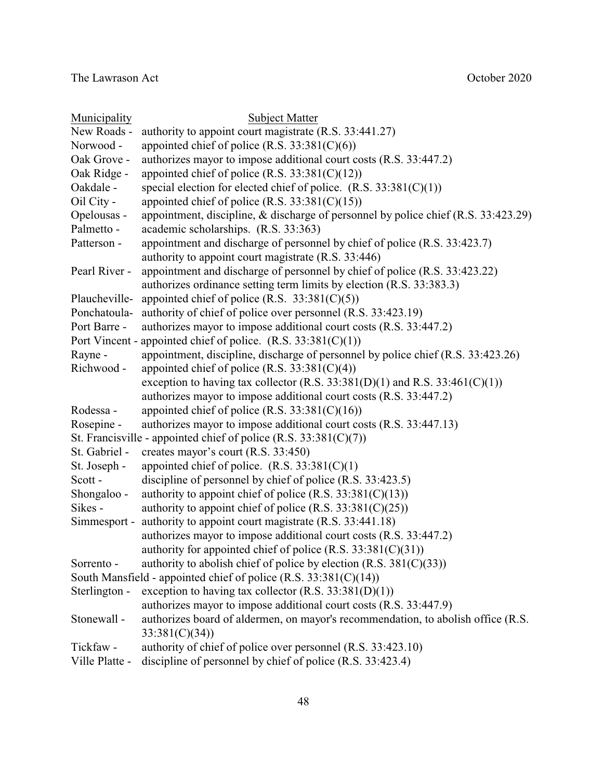| <b>Municipality</b>                                                | <b>Subject Matter</b>                                                              |
|--------------------------------------------------------------------|------------------------------------------------------------------------------------|
| New Roads -                                                        | authority to appoint court magistrate (R.S. 33:441.27)                             |
| Norwood -                                                          | appointed chief of police (R.S. $33:381(C)(6)$ )                                   |
| Oak Grove -                                                        | authorizes mayor to impose additional court costs (R.S. 33:447.2)                  |
| Oak Ridge -                                                        | appointed chief of police (R.S. $33:381(C)(12)$ )                                  |
| Oakdale -                                                          | special election for elected chief of police. $(R.S. 33:381(C)(1))$                |
| Oil City -                                                         | appointed chief of police (R.S. $33:381(C)(15)$ )                                  |
| Opelousas -                                                        | appointment, discipline, & discharge of personnel by police chief (R.S. 33:423.29) |
| Palmetto -                                                         | academic scholarships. (R.S. 33:363)                                               |
| Patterson -                                                        | appointment and discharge of personnel by chief of police (R.S. 33:423.7)          |
|                                                                    | authority to appoint court magistrate (R.S. 33:446)                                |
| Pearl River -                                                      | appointment and discharge of personnel by chief of police (R.S. 33:423.22)         |
|                                                                    | authorizes ordinance setting term limits by election (R.S. 33:383.3)               |
| Plaucheville-                                                      | appointed chief of police (R.S. $33:381(C)(5)$ )                                   |
| Ponchatoula-                                                       | authority of chief of police over personnel (R.S. 33:423.19)                       |
| Port Barre -                                                       | authorizes mayor to impose additional court costs (R.S. 33:447.2)                  |
|                                                                    | Port Vincent - appointed chief of police. $(R.S. 33:381(C)(1))$                    |
| Rayne -                                                            | appointment, discipline, discharge of personnel by police chief (R.S. 33:423.26)   |
| Richwood -                                                         | appointed chief of police (R.S. $33:381(C)(4)$ )                                   |
|                                                                    | exception to having tax collector (R.S. $33:381(D)(1)$ and R.S. $33:461(C)(1)$ )   |
|                                                                    | authorizes mayor to impose additional court costs (R.S. 33:447.2)                  |
| Rodessa -                                                          | appointed chief of police (R.S. 33:381(C)(16))                                     |
| Rosepine -                                                         | authorizes mayor to impose additional court costs (R.S. 33:447.13)                 |
|                                                                    | St. Francisville - appointed chief of police $(R.S. 33:381(C)(7))$                 |
| St. Gabriel -                                                      | creates mayor's court (R.S. 33:450)                                                |
| St. Joseph -                                                       | appointed chief of police. $(R.S. 33:381(C)(1))$                                   |
| Scott-                                                             | discipline of personnel by chief of police (R.S. 33:423.5)                         |
| Shongaloo -                                                        | authority to appoint chief of police (R.S. $33:381(C)(13)$ )                       |
| Sikes -                                                            | authority to appoint chief of police (R.S. $33:381(C)(25)$ )                       |
| Simmesport -                                                       | authority to appoint court magistrate (R.S. 33:441.18)                             |
|                                                                    | authorizes mayor to impose additional court costs (R.S. 33:447.2)                  |
|                                                                    | authority for appointed chief of police $(R.S. 33:381(C)(31))$                     |
| Sorrento -                                                         | authority to abolish chief of police by election $(R.S. 381(C)(33))$               |
| South Mansfield - appointed chief of police $(R.S. 33:381(C)(14))$ |                                                                                    |
| Sterlington -                                                      | exception to having tax collector $(R.S. 33:381(D)(1))$                            |
|                                                                    | authorizes mayor to impose additional court costs (R.S. 33:447.9)                  |
| Stonewall -                                                        | authorizes board of aldermen, on mayor's recommendation, to abolish office (R.S.   |
|                                                                    | 33:381(C)(34)                                                                      |
| Tickfaw -                                                          | authority of chief of police over personnel (R.S. 33:423.10)                       |
| Ville Platte -                                                     | discipline of personnel by chief of police (R.S. 33:423.4)                         |